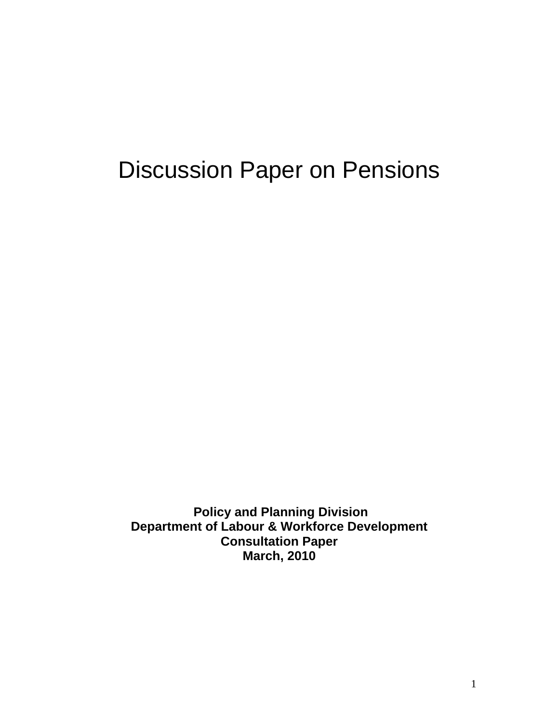# Discussion Paper on Pensions

**Policy and Planning Division Department of Labour & Workforce Development Consultation Paper March, 2010**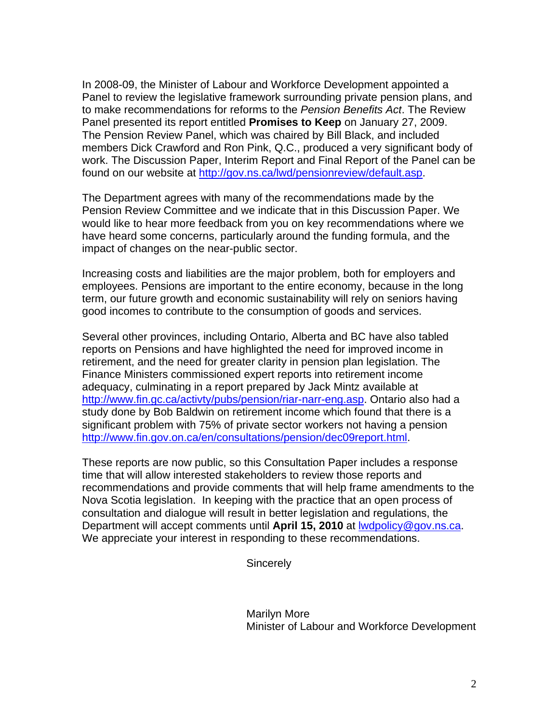In 2008-09, the Minister of Labour and Workforce Development appointed a Panel to review the legislative framework surrounding private pension plans, and to make recommendations for reforms to the *Pension Benefits Act*. The Review Panel presented its report entitled **Promises to Keep** on January 27, 2009. The Pension Review Panel, which was chaired by Bill Black, and included members Dick Crawford and Ron Pink, Q.C., produced a very significant body of work. The Discussion Paper, Interim Report and Final Report of the Panel can be found on our website at [http://gov.ns.ca/lwd/pensionreview/default.asp.](http://gov.ns.ca/lwd/pensionreview/default.asp)

The Department agrees with many of the recommendations made by the Pension Review Committee and we indicate that in this Discussion Paper. We would like to hear more feedback from you on key recommendations where we have heard some concerns, particularly around the funding formula, and the impact of changes on the near-public sector.

Increasing costs and liabilities are the major problem, both for employers and employees. Pensions are important to the entire economy, because in the long term, our future growth and economic sustainability will rely on seniors having good incomes to contribute to the consumption of goods and services.

Several other provinces, including Ontario, Alberta and BC have also tabled reports on Pensions and have highlighted the need for improved income in retirement, and the need for greater clarity in pension plan legislation. The Finance Ministers commissioned expert reports into retirement income adequacy, culminating in a report prepared by Jack Mintz available at [http://www.fin.gc.ca/activty/pubs/pension/riar-narr-eng.asp.](http://www.fin.gc.ca/activty/pubs/pension/riar-narr-eng.asp) Ontario also had a study done by Bob Baldwin on retirement income which found that there is a significant problem with 75% of private sector workers not having a pension <http://www.fin.gov.on.ca/en/consultations/pension/dec09report.html>.

These reports are now public, so this Consultation Paper includes a response time that will allow interested stakeholders to review those reports and recommendations and provide comments that will help frame amendments to the Nova Scotia legislation. In keeping with the practice that an open process of consultation and dialogue will result in better legislation and regulations, the Department will accept comments until April 15, 2010 at **Iwdpolicy@gov.ns.ca**. We appreciate your interest in responding to these recommendations.

**Sincerely** 

 Marilyn More Minister of Labour and Workforce Development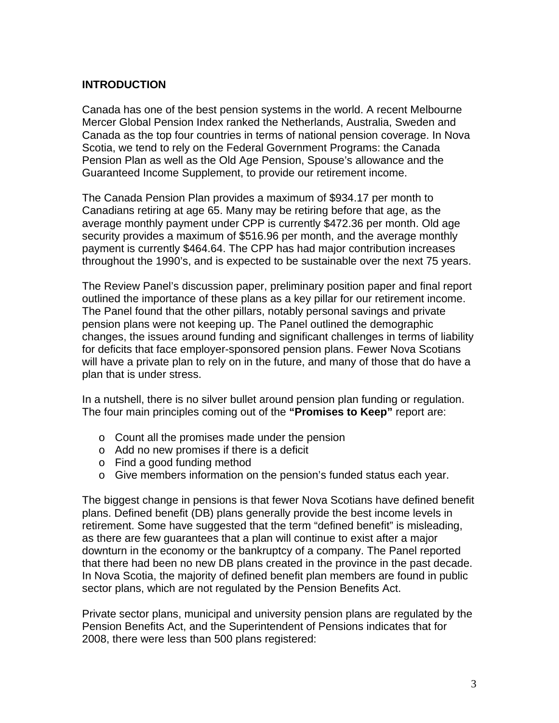#### **INTRODUCTION**

Canada has one of the best pension systems in the world. A recent Melbourne Mercer Global Pension Index ranked the Netherlands, Australia, Sweden and Canada as the top four countries in terms of national pension coverage. In Nova Scotia, we tend to rely on the Federal Government Programs: the Canada Pension Plan as well as the Old Age Pension, Spouse's allowance and the Guaranteed Income Supplement, to provide our retirement income.

The Canada Pension Plan provides a maximum of \$934.17 per month to Canadians retiring at age 65. Many may be retiring before that age, as the average monthly payment under CPP is currently \$472.36 per month. Old age security provides a maximum of \$516.96 per month, and the average monthly payment is currently \$464.64. The CPP has had major contribution increases throughout the 1990's, and is expected to be sustainable over the next 75 years.

The Review Panel's discussion paper, preliminary position paper and final report outlined the importance of these plans as a key pillar for our retirement income. The Panel found that the other pillars, notably personal savings and private pension plans were not keeping up. The Panel outlined the demographic changes, the issues around funding and significant challenges in terms of liability for deficits that face employer-sponsored pension plans. Fewer Nova Scotians will have a private plan to rely on in the future, and many of those that do have a plan that is under stress.

In a nutshell, there is no silver bullet around pension plan funding or regulation. The four main principles coming out of the **"Promises to Keep"** report are:

- o Count all the promises made under the pension
- o Add no new promises if there is a deficit
- o Find a good funding method
- o Give members information on the pension's funded status each year.

The biggest change in pensions is that fewer Nova Scotians have defined benefit plans. Defined benefit (DB) plans generally provide the best income levels in retirement. Some have suggested that the term "defined benefit" is misleading, as there are few guarantees that a plan will continue to exist after a major downturn in the economy or the bankruptcy of a company. The Panel reported that there had been no new DB plans created in the province in the past decade. In Nova Scotia, the majority of defined benefit plan members are found in public sector plans, which are not regulated by the Pension Benefits Act.

Private sector plans, municipal and university pension plans are regulated by the Pension Benefits Act, and the Superintendent of Pensions indicates that for 2008, there were less than 500 plans registered: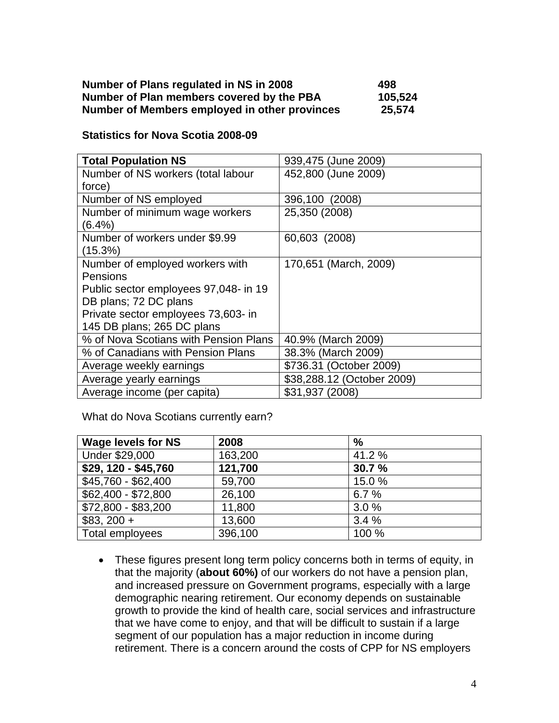| Number of Plans regulated in NS in 2008       | 498     |
|-----------------------------------------------|---------|
| Number of Plan members covered by the PBA     | 105,524 |
| Number of Members employed in other provinces | 25,574  |

#### **Statistics for Nova Scotia 2008-09**

| <b>Total Population NS</b>            | 939,475 (June 2009)        |
|---------------------------------------|----------------------------|
| Number of NS workers (total labour    | 452,800 (June 2009)        |
| force)                                |                            |
| Number of NS employed                 | 396,100 (2008)             |
| Number of minimum wage workers        | 25,350 (2008)              |
| $(6.4\%)$                             |                            |
| Number of workers under \$9.99        | 60,603 (2008)              |
| (15.3%)                               |                            |
| Number of employed workers with       | 170,651 (March, 2009)      |
| Pensions                              |                            |
| Public sector employees 97,048- in 19 |                            |
| DB plans; 72 DC plans                 |                            |
| Private sector employees 73,603- in   |                            |
| 145 DB plans; 265 DC plans            |                            |
| % of Nova Scotians with Pension Plans | 40.9% (March 2009)         |
| % of Canadians with Pension Plans     | 38.3% (March 2009)         |
| Average weekly earnings               | \$736.31 (October 2009)    |
| Average yearly earnings               | \$38,288.12 (October 2009) |
| Average income (per capita)           | \$31,937 (2008)            |

What do Nova Scotians currently earn?

| <b>Wage levels for NS</b> | 2008    | $\frac{0}{0}$ |
|---------------------------|---------|---------------|
| Under \$29,000            | 163,200 | 41.2 %        |
| \$29, 120 - \$45,760      | 121,700 | 30.7 %        |
| \$45,760 - \$62,400       | 59,700  | 15.0%         |
| \$62,400 - \$72,800       | 26,100  | 6.7%          |
| \$72,800 - \$83,200       | 11,800  | 3.0%          |
| $$83, 200 +$              | 13,600  | 3.4%          |
| Total employees           | 396,100 | 100 %         |

• These figures present long term policy concerns both in terms of equity, in that the majority (**about 60%)** of our workers do not have a pension plan, and increased pressure on Government programs, especially with a large demographic nearing retirement. Our economy depends on sustainable growth to provide the kind of health care, social services and infrastructure that we have come to enjoy, and that will be difficult to sustain if a large segment of our population has a major reduction in income during retirement. There is a concern around the costs of CPP for NS employers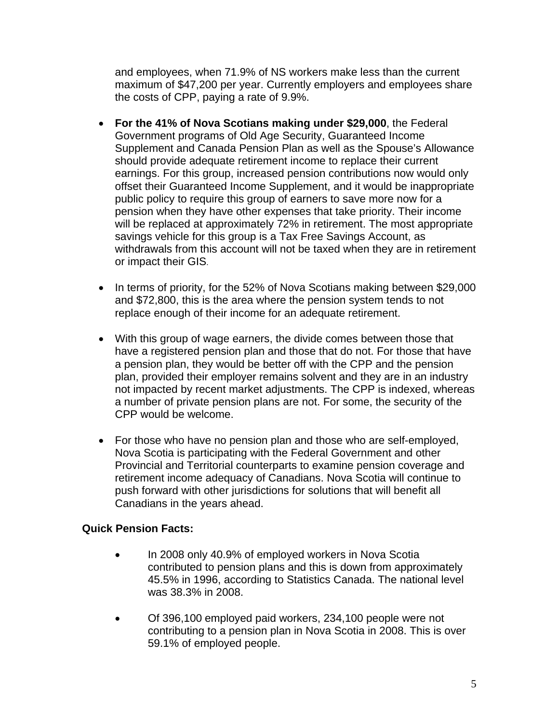and employees, when 71.9% of NS workers make less than the current maximum of \$47,200 per year. Currently employers and employees share the costs of CPP, paying a rate of 9.9%.

- **For the 41% of Nova Scotians making under \$29,000**, the Federal Government programs of Old Age Security, Guaranteed Income Supplement and Canada Pension Plan as well as the Spouse's Allowance should provide adequate retirement income to replace their current earnings. For this group, increased pension contributions now would only offset their Guaranteed Income Supplement, and it would be inappropriate public policy to require this group of earners to save more now for a pension when they have other expenses that take priority. Their income will be replaced at approximately 72% in retirement. The most appropriate savings vehicle for this group is a Tax Free Savings Account, as withdrawals from this account will not be taxed when they are in retirement or impact their GIS.
- In terms of priority, for the 52% of Nova Scotians making between \$29,000 and \$72,800, this is the area where the pension system tends to not replace enough of their income for an adequate retirement.
- With this group of wage earners, the divide comes between those that have a registered pension plan and those that do not. For those that have a pension plan, they would be better off with the CPP and the pension plan, provided their employer remains solvent and they are in an industry not impacted by recent market adjustments. The CPP is indexed, whereas a number of private pension plans are not. For some, the security of the CPP would be welcome.
- For those who have no pension plan and those who are self-employed, Nova Scotia is participating with the Federal Government and other Provincial and Territorial counterparts to examine pension coverage and retirement income adequacy of Canadians. Nova Scotia will continue to push forward with other jurisdictions for solutions that will benefit all Canadians in the years ahead.

## **Quick Pension Facts:**

- In 2008 only 40.9% of employed workers in Nova Scotia contributed to pension plans and this is down from approximately 45.5% in 1996, according to Statistics Canada. The national level was 38.3% in 2008.
- Of 396,100 employed paid workers, 234,100 people were not contributing to a pension plan in Nova Scotia in 2008. This is over 59.1% of employed people.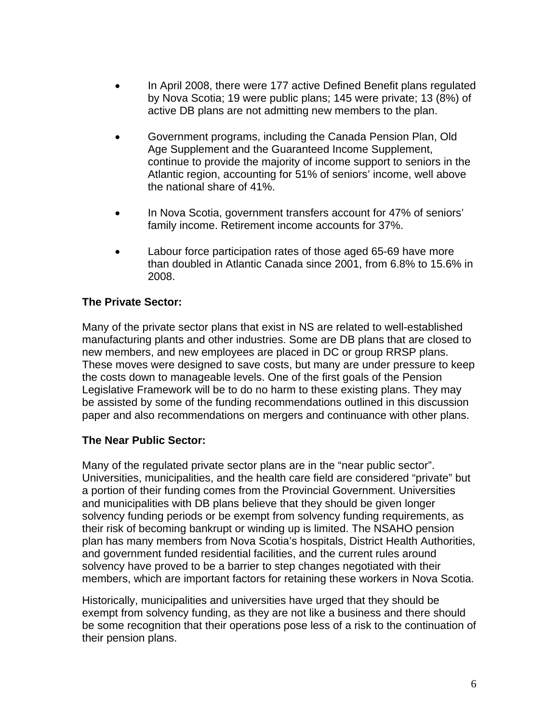- In April 2008, there were 177 active Defined Benefit plans regulated by Nova Scotia; 19 were public plans; 145 were private; 13 (8%) of active DB plans are not admitting new members to the plan.
- Government programs, including the Canada Pension Plan, Old Age Supplement and the Guaranteed Income Supplement, continue to provide the majority of income support to seniors in the Atlantic region, accounting for 51% of seniors' income, well above the national share of 41%.
- In Nova Scotia, government transfers account for 47% of seniors' family income. Retirement income accounts for 37%.
- Labour force participation rates of those aged 65-69 have more than doubled in Atlantic Canada since 2001, from 6.8% to 15.6% in 2008.

## **The Private Sector:**

Many of the private sector plans that exist in NS are related to well-established manufacturing plants and other industries. Some are DB plans that are closed to new members, and new employees are placed in DC or group RRSP plans. These moves were designed to save costs, but many are under pressure to keep the costs down to manageable levels. One of the first goals of the Pension Legislative Framework will be to do no harm to these existing plans. They may be assisted by some of the funding recommendations outlined in this discussion paper and also recommendations on mergers and continuance with other plans.

#### **The Near Public Sector:**

Many of the regulated private sector plans are in the "near public sector". Universities, municipalities, and the health care field are considered "private" but a portion of their funding comes from the Provincial Government. Universities and municipalities with DB plans believe that they should be given longer solvency funding periods or be exempt from solvency funding requirements, as their risk of becoming bankrupt or winding up is limited. The NSAHO pension plan has many members from Nova Scotia's hospitals, District Health Authorities, and government funded residential facilities, and the current rules around solvency have proved to be a barrier to step changes negotiated with their members, which are important factors for retaining these workers in Nova Scotia.

Historically, municipalities and universities have urged that they should be exempt from solvency funding, as they are not like a business and there should be some recognition that their operations pose less of a risk to the continuation of their pension plans.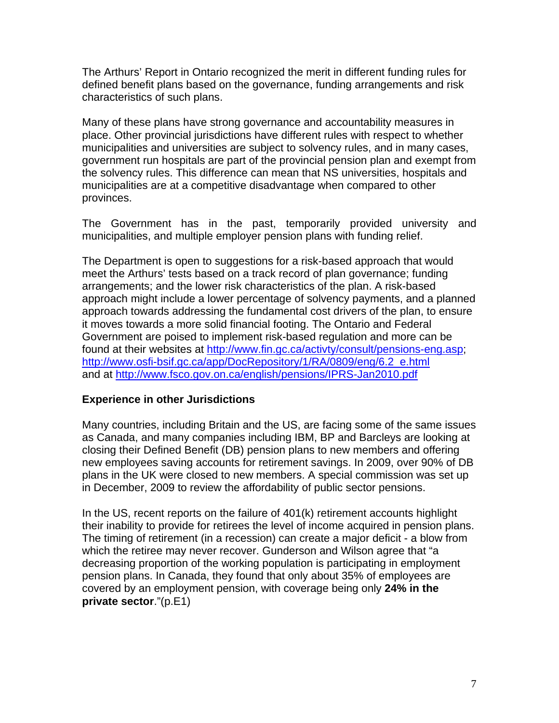The Arthurs' Report in Ontario recognized the merit in different funding rules for defined benefit plans based on the governance, funding arrangements and risk characteristics of such plans.

Many of these plans have strong governance and accountability measures in place. Other provincial jurisdictions have different rules with respect to whether municipalities and universities are subject to solvency rules, and in many cases, government run hospitals are part of the provincial pension plan and exempt from the solvency rules. This difference can mean that NS universities, hospitals and municipalities are at a competitive disadvantage when compared to other provinces.

The Government has in the past, temporarily provided university and municipalities, and multiple employer pension plans with funding relief.

The Department is open to suggestions for a risk-based approach that would meet the Arthurs' tests based on a track record of plan governance; funding arrangements; and the lower risk characteristics of the plan. A risk-based approach might include a lower percentage of solvency payments, and a planned approach towards addressing the fundamental cost drivers of the plan, to ensure it moves towards a more solid financial footing. The Ontario and Federal Government are poised to implement risk-based regulation and more can be found at their websites at [http://www.fin.gc.ca/activty/consult/pensions-eng.asp;](http://www.fin.gc.ca/activty/consult/pensions-eng.asp) [http://www.osfi-bsif.gc.ca/app/DocRepository/1/RA/0809/eng/6.2\\_e.html](http://www.osfi-bsif.gc.ca/app/DocRepository/1/RA/0809/eng/6.2_e.html) and at <http://www.fsco.gov.on.ca/english/pensions/IPRS-Jan2010.pdf>

#### **Experience in other Jurisdictions**

Many countries, including Britain and the US, are facing some of the same issues as Canada, and many companies including IBM, BP and Barcleys are looking at closing their Defined Benefit (DB) pension plans to new members and offering new employees saving accounts for retirement savings. In 2009, over 90% of DB plans in the UK were closed to new members. A special commission was set up in December, 2009 to review the affordability of public sector pensions.

In the US, recent reports on the failure of 401(k) retirement accounts highlight their inability to provide for retirees the level of income acquired in pension plans. The timing of retirement (in a recession) can create a major deficit - a blow from which the retiree may never recover. Gunderson and Wilson agree that "a decreasing proportion of the working population is participating in employment pension plans. In Canada, they found that only about 35% of employees are covered by an employment pension, with coverage being only **24% in the private sector**."(p.E1)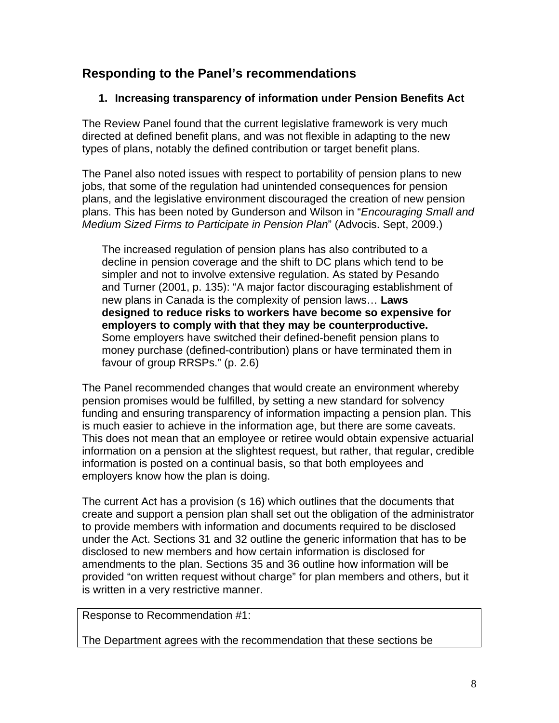# **Responding to the Panel's recommendations**

## **1. Increasing transparency of information under Pension Benefits Act**

The Review Panel found that the current legislative framework is very much directed at defined benefit plans, and was not flexible in adapting to the new types of plans, notably the defined contribution or target benefit plans.

The Panel also noted issues with respect to portability of pension plans to new jobs, that some of the regulation had unintended consequences for pension plans, and the legislative environment discouraged the creation of new pension plans. This has been noted by Gunderson and Wilson in "*Encouraging Small and Medium Sized Firms to Participate in Pension Plan*" (Advocis. Sept, 2009.)

The increased regulation of pension plans has also contributed to a decline in pension coverage and the shift to DC plans which tend to be simpler and not to involve extensive regulation. As stated by Pesando and Turner (2001, p. 135): "A major factor discouraging establishment of new plans in Canada is the complexity of pension laws… **Laws designed to reduce risks to workers have become so expensive for employers to comply with that they may be counterproductive.**  Some employers have switched their defined-benefit pension plans to money purchase (defined-contribution) plans or have terminated them in favour of group RRSPs." (p. 2.6)

The Panel recommended changes that would create an environment whereby pension promises would be fulfilled, by setting a new standard for solvency funding and ensuring transparency of information impacting a pension plan. This is much easier to achieve in the information age, but there are some caveats. This does not mean that an employee or retiree would obtain expensive actuarial information on a pension at the slightest request, but rather, that regular, credible information is posted on a continual basis, so that both employees and employers know how the plan is doing.

The current Act has a provision (s 16) which outlines that the documents that create and support a pension plan shall set out the obligation of the administrator to provide members with information and documents required to be disclosed under the Act. Sections 31 and 32 outline the generic information that has to be disclosed to new members and how certain information is disclosed for amendments to the plan. Sections 35 and 36 outline how information will be provided "on written request without charge" for plan members and others, but it is written in a very restrictive manner.

Response to Recommendation #1:

The Department agrees with the recommendation that these sections be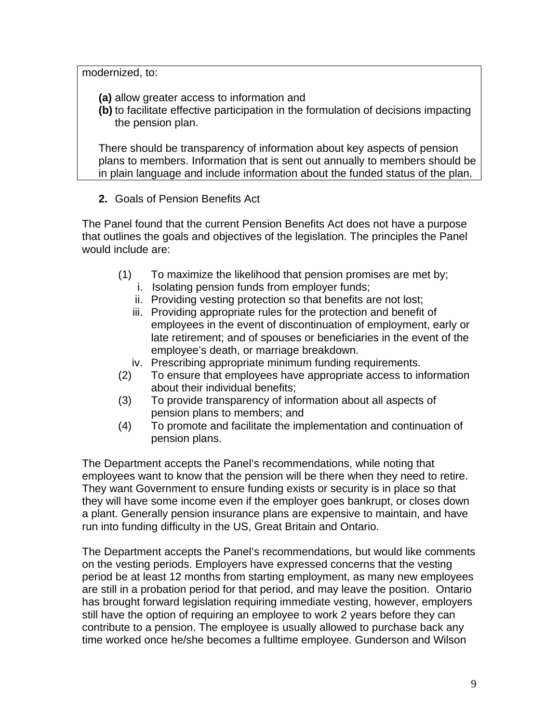modernized, to:

- **(a)** allow greater access to information and
- **(b)** to facilitate effective participation in the formulation of decisions impacting the pension plan.

There should be transparency of information about key aspects of pension plans to members. Information that is sent out annually to members should be in plain language and include information about the funded status of the plan.

**2.** Goals of Pension Benefits Act

The Panel found that the current Pension Benefits Act does not have a purpose that outlines the goals and objectives of the legislation. The principles the Panel would include are:

- (1) To maximize the likelihood that pension promises are met by;
	- i. Isolating pension funds from employer funds;
	- ii. Providing vesting protection so that benefits are not lost;
	- iii. Providing appropriate rules for the protection and benefit of employees in the event of discontinuation of employment, early or late retirement; and of spouses or beneficiaries in the event of the employee's death, or marriage breakdown.
	- iv. Prescribing appropriate minimum funding requirements.
- (2) To ensure that employees have appropriate access to information about their individual benefits;
- (3) To provide transparency of information about all aspects of pension plans to members; and
- (4) To promote and facilitate the implementation and continuation of pension plans.

The Department accepts the Panel's recommendations, while noting that employees want to know that the pension will be there when they need to retire. They want Government to ensure funding exists or security is in place so that they will have some income even if the employer goes bankrupt, or closes down a plant. Generally pension insurance plans are expensive to maintain, and have run into funding difficulty in the US, Great Britain and Ontario.

The Department accepts the Panel's recommendations, but would like comments on the vesting periods. Employers have expressed concerns that the vesting period be at least 12 months from starting employment, as many new employees are still in a probation period for that period, and may leave the position. Ontario has brought forward legislation requiring immediate vesting, however, employers still have the option of requiring an employee to work 2 years before they can contribute to a pension. The employee is usually allowed to purchase back any time worked once he/she becomes a fulltime employee. Gunderson and Wilson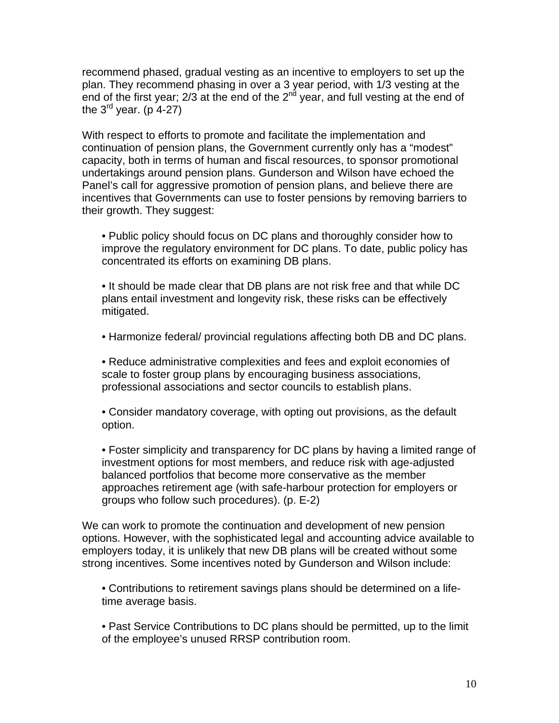recommend phased, gradual vesting as an incentive to employers to set up the plan. They recommend phasing in over a 3 year period, with 1/3 vesting at the end of the first year;  $2/3$  at the end of the  $2<sup>nd</sup>$  year, and full vesting at the end of the  $3^{rd}$  year. (p 4-27)

With respect to efforts to promote and facilitate the implementation and continuation of pension plans, the Government currently only has a "modest" capacity, both in terms of human and fiscal resources, to sponsor promotional undertakings around pension plans. Gunderson and Wilson have echoed the Panel's call for aggressive promotion of pension plans, and believe there are incentives that Governments can use to foster pensions by removing barriers to their growth. They suggest:

• Public policy should focus on DC plans and thoroughly consider how to improve the regulatory environment for DC plans. To date, public policy has concentrated its efforts on examining DB plans.

• It should be made clear that DB plans are not risk free and that while DC plans entail investment and longevity risk, these risks can be effectively mitigated.

• Harmonize federal/ provincial regulations affecting both DB and DC plans.

• Reduce administrative complexities and fees and exploit economies of scale to foster group plans by encouraging business associations, professional associations and sector councils to establish plans.

• Consider mandatory coverage, with opting out provisions, as the default option.

• Foster simplicity and transparency for DC plans by having a limited range of investment options for most members, and reduce risk with age-adjusted balanced portfolios that become more conservative as the member approaches retirement age (with safe-harbour protection for employers or groups who follow such procedures). (p. E-2)

We can work to promote the continuation and development of new pension options. However, with the sophisticated legal and accounting advice available to employers today, it is unlikely that new DB plans will be created without some strong incentives. Some incentives noted by Gunderson and Wilson include:

• Contributions to retirement savings plans should be determined on a lifetime average basis.

• Past Service Contributions to DC plans should be permitted, up to the limit of the employee's unused RRSP contribution room.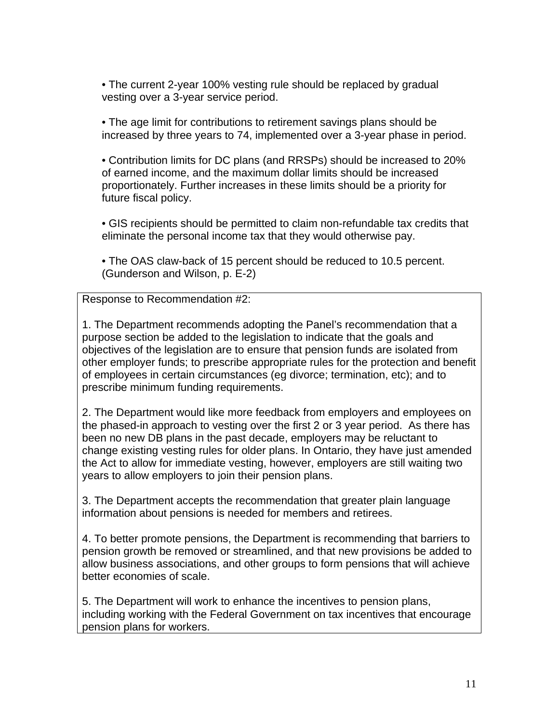• The current 2-year 100% vesting rule should be replaced by gradual vesting over a 3-year service period.

• The age limit for contributions to retirement savings plans should be increased by three years to 74, implemented over a 3-year phase in period.

• Contribution limits for DC plans (and RRSPs) should be increased to 20% of earned income, and the maximum dollar limits should be increased proportionately. Further increases in these limits should be a priority for future fiscal policy.

• GIS recipients should be permitted to claim non-refundable tax credits that eliminate the personal income tax that they would otherwise pay.

• The OAS claw-back of 15 percent should be reduced to 10.5 percent. (Gunderson and Wilson, p. E-2)

Response to Recommendation #2:

1. The Department recommends adopting the Panel's recommendation that a purpose section be added to the legislation to indicate that the goals and objectives of the legislation are to ensure that pension funds are isolated from other employer funds; to prescribe appropriate rules for the protection and benefit of employees in certain circumstances (eg divorce; termination, etc); and to prescribe minimum funding requirements.

2. The Department would like more feedback from employers and employees on the phased-in approach to vesting over the first 2 or 3 year period. As there has been no new DB plans in the past decade, employers may be reluctant to change existing vesting rules for older plans. In Ontario, they have just amended the Act to allow for immediate vesting, however, employers are still waiting two years to allow employers to join their pension plans.

3. The Department accepts the recommendation that greater plain language information about pensions is needed for members and retirees.

4. To better promote pensions, the Department is recommending that barriers to pension growth be removed or streamlined, and that new provisions be added to allow business associations, and other groups to form pensions that will achieve better economies of scale.

5. The Department will work to enhance the incentives to pension plans, including working with the Federal Government on tax incentives that encourage pension plans for workers.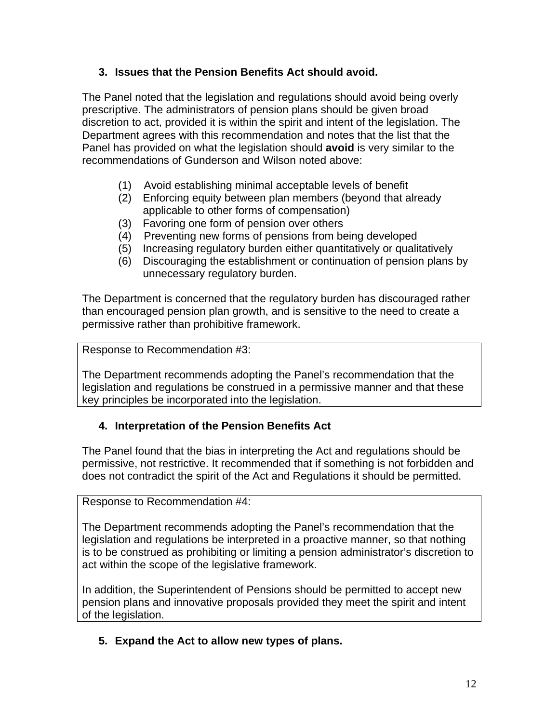## **3. Issues that the Pension Benefits Act should avoid.**

The Panel noted that the legislation and regulations should avoid being overly prescriptive. The administrators of pension plans should be given broad discretion to act, provided it is within the spirit and intent of the legislation. The Department agrees with this recommendation and notes that the list that the Panel has provided on what the legislation should **avoid** is very similar to the recommendations of Gunderson and Wilson noted above:

- (1) Avoid establishing minimal acceptable levels of benefit
- (2) Enforcing equity between plan members (beyond that already applicable to other forms of compensation)
- (3) Favoring one form of pension over others
- (4) Preventing new forms of pensions from being developed
- (5) Increasing regulatory burden either quantitatively or qualitatively
- (6) Discouraging the establishment or continuation of pension plans by unnecessary regulatory burden.

The Department is concerned that the regulatory burden has discouraged rather than encouraged pension plan growth, and is sensitive to the need to create a permissive rather than prohibitive framework.

Response to Recommendation #3:

The Department recommends adopting the Panel's recommendation that the legislation and regulations be construed in a permissive manner and that these key principles be incorporated into the legislation.

## **4. Interpretation of the Pension Benefits Act**

The Panel found that the bias in interpreting the Act and regulations should be permissive, not restrictive. It recommended that if something is not forbidden and does not contradict the spirit of the Act and Regulations it should be permitted.

Response to Recommendation #4:

The Department recommends adopting the Panel's recommendation that the legislation and regulations be interpreted in a proactive manner, so that nothing is to be construed as prohibiting or limiting a pension administrator's discretion to act within the scope of the legislative framework.

In addition, the Superintendent of Pensions should be permitted to accept new pension plans and innovative proposals provided they meet the spirit and intent of the legislation.

**5. Expand the Act to allow new types of plans.**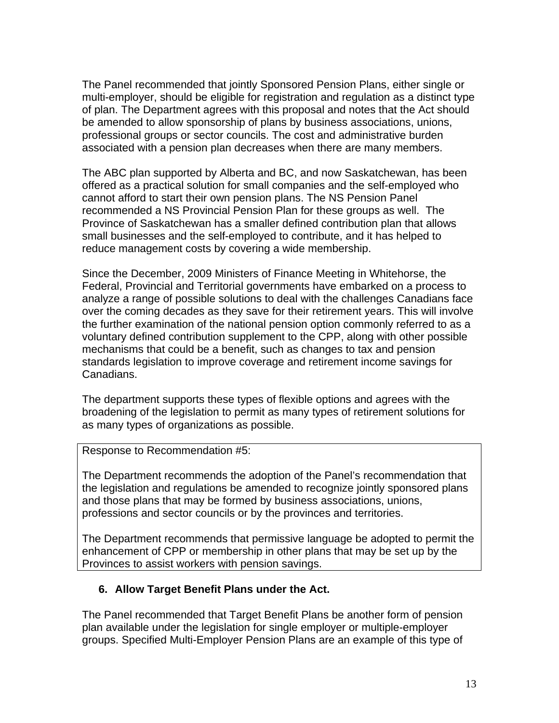The Panel recommended that jointly Sponsored Pension Plans, either single or multi-employer, should be eligible for registration and regulation as a distinct type of plan. The Department agrees with this proposal and notes that the Act should be amended to allow sponsorship of plans by business associations, unions, professional groups or sector councils. The cost and administrative burden associated with a pension plan decreases when there are many members.

The ABC plan supported by Alberta and BC, and now Saskatchewan, has been offered as a practical solution for small companies and the self-employed who cannot afford to start their own pension plans. The NS Pension Panel recommended a NS Provincial Pension Plan for these groups as well. The Province of Saskatchewan has a smaller defined contribution plan that allows small businesses and the self-employed to contribute, and it has helped to reduce management costs by covering a wide membership.

Since the December, 2009 Ministers of Finance Meeting in Whitehorse, the Federal, Provincial and Territorial governments have embarked on a process to analyze a range of possible solutions to deal with the challenges Canadians face over the coming decades as they save for their retirement years. This will involve the further examination of the national pension option commonly referred to as a voluntary defined contribution supplement to the CPP, along with other possible mechanisms that could be a benefit, such as changes to tax and pension standards legislation to improve coverage and retirement income savings for Canadians.

The department supports these types of flexible options and agrees with the broadening of the legislation to permit as many types of retirement solutions for as many types of organizations as possible.

Response to Recommendation #5:

The Department recommends the adoption of the Panel's recommendation that the legislation and regulations be amended to recognize jointly sponsored plans and those plans that may be formed by business associations, unions, professions and sector councils or by the provinces and territories.

The Department recommends that permissive language be adopted to permit the enhancement of CPP or membership in other plans that may be set up by the Provinces to assist workers with pension savings.

## **6. Allow Target Benefit Plans under the Act.**

The Panel recommended that Target Benefit Plans be another form of pension plan available under the legislation for single employer or multiple-employer groups. Specified Multi-Employer Pension Plans are an example of this type of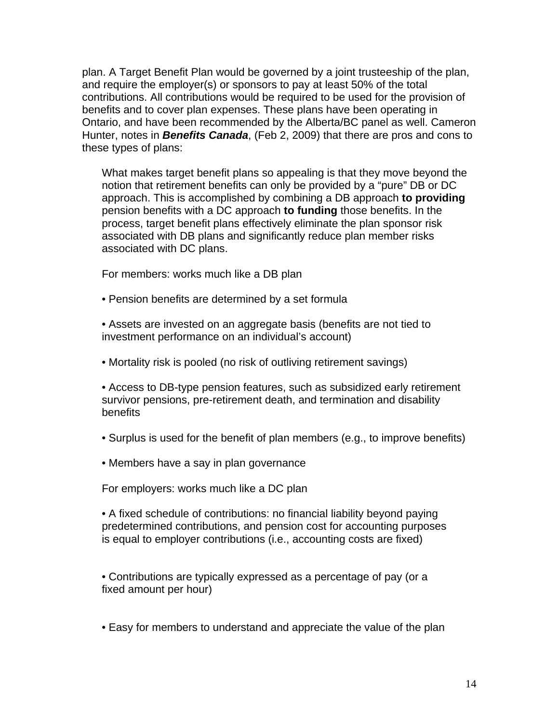plan. A Target Benefit Plan would be governed by a joint trusteeship of the plan, and require the employer(s) or sponsors to pay at least 50% of the total contributions. All contributions would be required to be used for the provision of benefits and to cover plan expenses. These plans have been operating in Ontario, and have been recommended by the Alberta/BC panel as well. Cameron Hunter, notes in *Benefits Canada*, (Feb 2, 2009) that there are pros and cons to these types of plans:

What makes target benefit plans so appealing is that they move beyond the notion that retirement benefits can only be provided by a "pure" DB or DC approach. This is accomplished by combining a DB approach **to providing** pension benefits with a DC approach **to funding** those benefits. In the process, target benefit plans effectively eliminate the plan sponsor risk associated with DB plans and significantly reduce plan member risks associated with DC plans.

For members: works much like a DB plan

- Pension benefits are determined by a set formula
- Assets are invested on an aggregate basis (benefits are not tied to investment performance on an individual's account)
- Mortality risk is pooled (no risk of outliving retirement savings)
- Access to DB-type pension features, such as subsidized early retirement survivor pensions, pre-retirement death, and termination and disability **benefits**
- Surplus is used for the benefit of plan members (e.g., to improve benefits)
- Members have a say in plan governance

For employers: works much like a DC plan

• A fixed schedule of contributions: no financial liability beyond paying predetermined contributions, and pension cost for accounting purposes is equal to employer contributions (i.e., accounting costs are fixed)

• Contributions are typically expressed as a percentage of pay (or a fixed amount per hour)

• Easy for members to understand and appreciate the value of the plan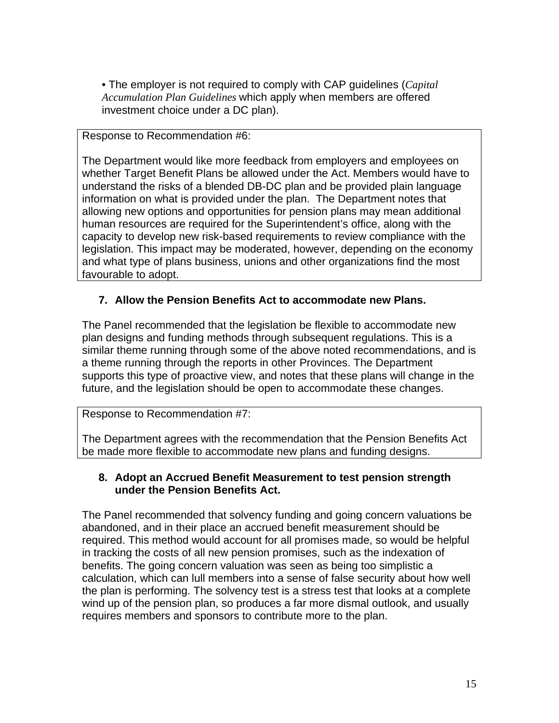• The employer is not required to comply with CAP guidelines (*Capital Accumulation Plan Guidelines* which apply when members are offered investment choice under a DC plan).

#### Response to Recommendation #6:

The Department would like more feedback from employers and employees on whether Target Benefit Plans be allowed under the Act. Members would have to understand the risks of a blended DB-DC plan and be provided plain language information on what is provided under the plan. The Department notes that allowing new options and opportunities for pension plans may mean additional human resources are required for the Superintendent's office, along with the capacity to develop new risk-based requirements to review compliance with the legislation. This impact may be moderated, however, depending on the economy and what type of plans business, unions and other organizations find the most favourable to adopt.

## **7. Allow the Pension Benefits Act to accommodate new Plans.**

The Panel recommended that the legislation be flexible to accommodate new plan designs and funding methods through subsequent regulations. This is a similar theme running through some of the above noted recommendations, and is a theme running through the reports in other Provinces. The Department supports this type of proactive view, and notes that these plans will change in the future, and the legislation should be open to accommodate these changes.

#### Response to Recommendation #7:

The Department agrees with the recommendation that the Pension Benefits Act be made more flexible to accommodate new plans and funding designs.

#### **8. Adopt an Accrued Benefit Measurement to test pension strength under the Pension Benefits Act.**

The Panel recommended that solvency funding and going concern valuations be abandoned, and in their place an accrued benefit measurement should be required. This method would account for all promises made, so would be helpful in tracking the costs of all new pension promises, such as the indexation of benefits. The going concern valuation was seen as being too simplistic a calculation, which can lull members into a sense of false security about how well the plan is performing. The solvency test is a stress test that looks at a complete wind up of the pension plan, so produces a far more dismal outlook, and usually requires members and sponsors to contribute more to the plan.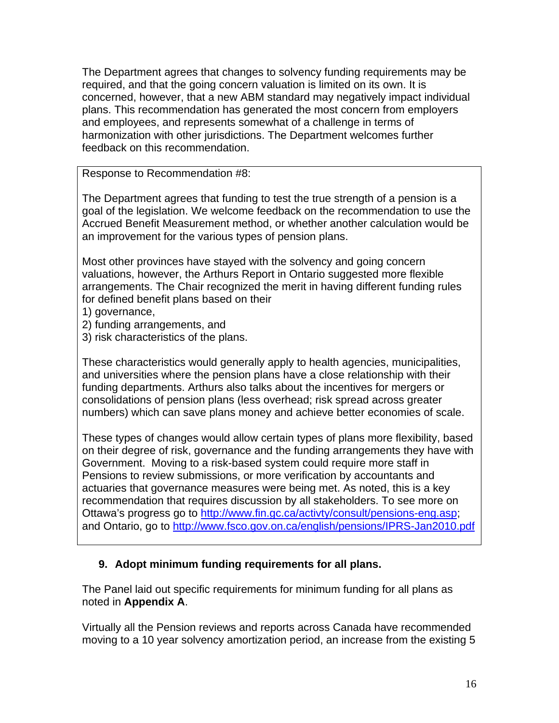The Department agrees that changes to solvency funding requirements may be required, and that the going concern valuation is limited on its own. It is concerned, however, that a new ABM standard may negatively impact individual plans. This recommendation has generated the most concern from employers and employees, and represents somewhat of a challenge in terms of harmonization with other jurisdictions. The Department welcomes further feedback on this recommendation.

Response to Recommendation #8:

The Department agrees that funding to test the true strength of a pension is a goal of the legislation. We welcome feedback on the recommendation to use the Accrued Benefit Measurement method, or whether another calculation would be an improvement for the various types of pension plans.

Most other provinces have stayed with the solvency and going concern valuations, however, the Arthurs Report in Ontario suggested more flexible arrangements. The Chair recognized the merit in having different funding rules for defined benefit plans based on their

- 1) governance,
- 2) funding arrangements, and
- 3) risk characteristics of the plans.

These characteristics would generally apply to health agencies, municipalities, and universities where the pension plans have a close relationship with their funding departments. Arthurs also talks about the incentives for mergers or consolidations of pension plans (less overhead; risk spread across greater numbers) which can save plans money and achieve better economies of scale.

These types of changes would allow certain types of plans more flexibility, based on their degree of risk, governance and the funding arrangements they have with Government. Moving to a risk-based system could require more staff in Pensions to review submissions, or more verification by accountants and actuaries that governance measures were being met. As noted, this is a key recommendation that requires discussion by all stakeholders. To see more on Ottawa's progress go to [http://www.fin.gc.ca/activty/consult/pensions-eng.asp;](http://www.fin.gc.ca/activty/consult/pensions-eng.asp) and Ontario, go to<http://www.fsco.gov.on.ca/english/pensions/IPRS-Jan2010.pdf>

## **9. Adopt minimum funding requirements for all plans.**

The Panel laid out specific requirements for minimum funding for all plans as noted in **Appendix A**.

Virtually all the Pension reviews and reports across Canada have recommended moving to a 10 year solvency amortization period, an increase from the existing 5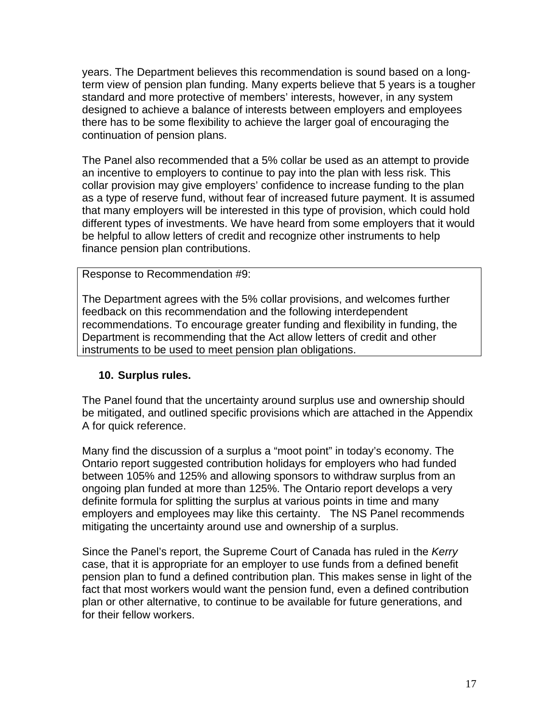years. The Department believes this recommendation is sound based on a longterm view of pension plan funding. Many experts believe that 5 years is a tougher standard and more protective of members' interests, however, in any system designed to achieve a balance of interests between employers and employees there has to be some flexibility to achieve the larger goal of encouraging the continuation of pension plans.

The Panel also recommended that a 5% collar be used as an attempt to provide an incentive to employers to continue to pay into the plan with less risk. This collar provision may give employers' confidence to increase funding to the plan as a type of reserve fund, without fear of increased future payment. It is assumed that many employers will be interested in this type of provision, which could hold different types of investments. We have heard from some employers that it would be helpful to allow letters of credit and recognize other instruments to help finance pension plan contributions.

Response to Recommendation #9:

The Department agrees with the 5% collar provisions, and welcomes further feedback on this recommendation and the following interdependent recommendations. To encourage greater funding and flexibility in funding, the Department is recommending that the Act allow letters of credit and other instruments to be used to meet pension plan obligations.

#### **10. Surplus rules.**

The Panel found that the uncertainty around surplus use and ownership should be mitigated, and outlined specific provisions which are attached in the Appendix A for quick reference.

Many find the discussion of a surplus a "moot point" in today's economy. The Ontario report suggested contribution holidays for employers who had funded between 105% and 125% and allowing sponsors to withdraw surplus from an ongoing plan funded at more than 125%. The Ontario report develops a very definite formula for splitting the surplus at various points in time and many employers and employees may like this certainty. The NS Panel recommends mitigating the uncertainty around use and ownership of a surplus.

Since the Panel's report, the Supreme Court of Canada has ruled in the *Kerry*  case, that it is appropriate for an employer to use funds from a defined benefit pension plan to fund a defined contribution plan. This makes sense in light of the fact that most workers would want the pension fund, even a defined contribution plan or other alternative, to continue to be available for future generations, and for their fellow workers.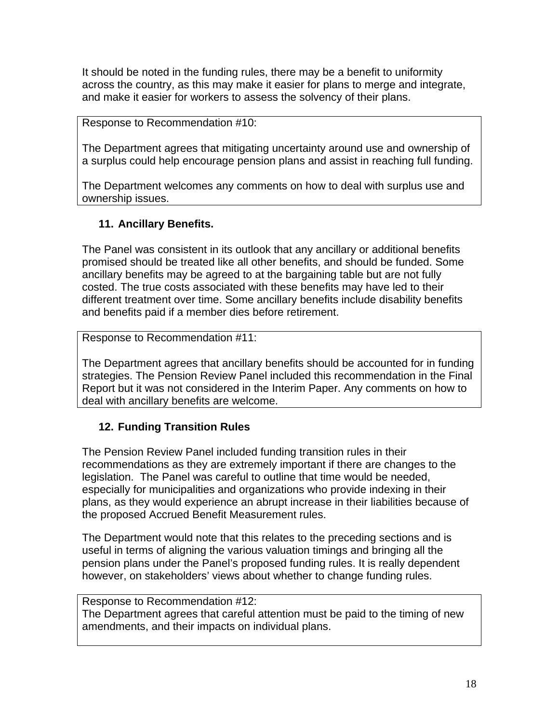It should be noted in the funding rules, there may be a benefit to uniformity across the country, as this may make it easier for plans to merge and integrate, and make it easier for workers to assess the solvency of their plans.

Response to Recommendation #10:

The Department agrees that mitigating uncertainty around use and ownership of a surplus could help encourage pension plans and assist in reaching full funding.

The Department welcomes any comments on how to deal with surplus use and ownership issues.

## **11. Ancillary Benefits.**

The Panel was consistent in its outlook that any ancillary or additional benefits promised should be treated like all other benefits, and should be funded. Some ancillary benefits may be agreed to at the bargaining table but are not fully costed. The true costs associated with these benefits may have led to their different treatment over time. Some ancillary benefits include disability benefits and benefits paid if a member dies before retirement.

Response to Recommendation #11:

The Department agrees that ancillary benefits should be accounted for in funding strategies. The Pension Review Panel included this recommendation in the Final Report but it was not considered in the Interim Paper. Any comments on how to deal with ancillary benefits are welcome.

## **12. Funding Transition Rules**

The Pension Review Panel included funding transition rules in their recommendations as they are extremely important if there are changes to the legislation. The Panel was careful to outline that time would be needed, especially for municipalities and organizations who provide indexing in their plans, as they would experience an abrupt increase in their liabilities because of the proposed Accrued Benefit Measurement rules.

The Department would note that this relates to the preceding sections and is useful in terms of aligning the various valuation timings and bringing all the pension plans under the Panel's proposed funding rules. It is really dependent however, on stakeholders' views about whether to change funding rules.

## Response to Recommendation #12:

The Department agrees that careful attention must be paid to the timing of new amendments, and their impacts on individual plans.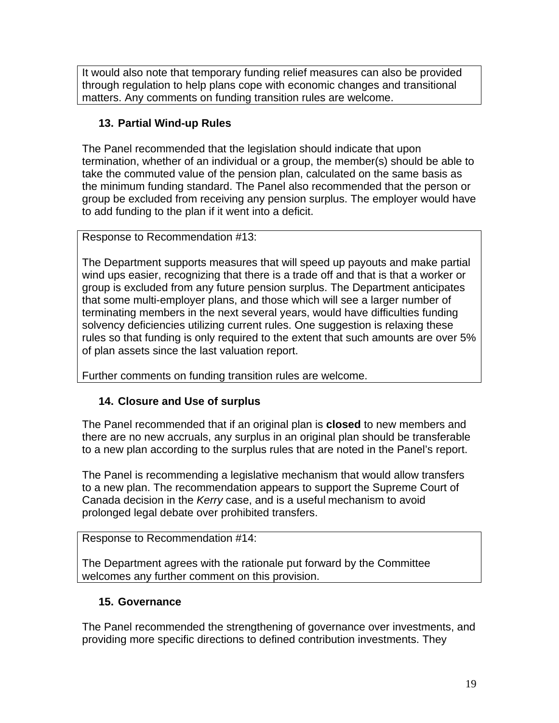It would also note that temporary funding relief measures can also be provided through regulation to help plans cope with economic changes and transitional matters. Any comments on funding transition rules are welcome.

## **13. Partial Wind-up Rules**

The Panel recommended that the legislation should indicate that upon termination, whether of an individual or a group, the member(s) should be able to take the commuted value of the pension plan, calculated on the same basis as the minimum funding standard. The Panel also recommended that the person or group be excluded from receiving any pension surplus. The employer would have to add funding to the plan if it went into a deficit.

Response to Recommendation #13:

The Department supports measures that will speed up payouts and make partial wind ups easier, recognizing that there is a trade off and that is that a worker or group is excluded from any future pension surplus. The Department anticipates that some multi-employer plans, and those which will see a larger number of terminating members in the next several years, would have difficulties funding solvency deficiencies utilizing current rules. One suggestion is relaxing these rules so that funding is only required to the extent that such amounts are over 5% of plan assets since the last valuation report.

Further comments on funding transition rules are welcome.

# **14. Closure and Use of surplus**

The Panel recommended that if an original plan is **closed** to new members and there are no new accruals, any surplus in an original plan should be transferable to a new plan according to the surplus rules that are noted in the Panel's report.

The Panel is recommending a legislative mechanism that would allow transfers to a new plan. The recommendation appears to support the Supreme Court of Canada decision in the *Kerry* case, and is a useful mechanism to avoid prolonged legal debate over prohibited transfers.

Response to Recommendation #14:

The Department agrees with the rationale put forward by the Committee welcomes any further comment on this provision.

# **15. Governance**

The Panel recommended the strengthening of governance over investments, and providing more specific directions to defined contribution investments. They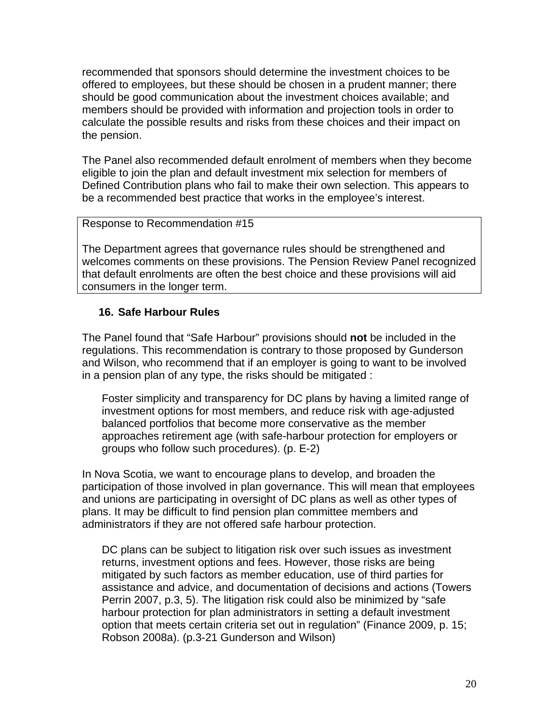recommended that sponsors should determine the investment choices to be offered to employees, but these should be chosen in a prudent manner; there should be good communication about the investment choices available; and members should be provided with information and projection tools in order to calculate the possible results and risks from these choices and their impact on the pension.

The Panel also recommended default enrolment of members when they become eligible to join the plan and default investment mix selection for members of Defined Contribution plans who fail to make their own selection. This appears to be a recommended best practice that works in the employee's interest.

#### Response to Recommendation #15

The Department agrees that governance rules should be strengthened and welcomes comments on these provisions. The Pension Review Panel recognized that default enrolments are often the best choice and these provisions will aid consumers in the longer term.

#### **16. Safe Harbour Rules**

The Panel found that "Safe Harbour" provisions should **not** be included in the regulations. This recommendation is contrary to those proposed by Gunderson and Wilson, who recommend that if an employer is going to want to be involved in a pension plan of any type, the risks should be mitigated :

Foster simplicity and transparency for DC plans by having a limited range of investment options for most members, and reduce risk with age-adjusted balanced portfolios that become more conservative as the member approaches retirement age (with safe-harbour protection for employers or groups who follow such procedures). (p. E-2)

In Nova Scotia, we want to encourage plans to develop, and broaden the participation of those involved in plan governance. This will mean that employees and unions are participating in oversight of DC plans as well as other types of plans. It may be difficult to find pension plan committee members and administrators if they are not offered safe harbour protection.

DC plans can be subject to litigation risk over such issues as investment returns, investment options and fees. However, those risks are being mitigated by such factors as member education, use of third parties for assistance and advice, and documentation of decisions and actions (Towers Perrin 2007, p.3, 5). The litigation risk could also be minimized by "safe harbour protection for plan administrators in setting a default investment option that meets certain criteria set out in regulation" (Finance 2009, p. 15; Robson 2008a). (p.3-21 Gunderson and Wilson)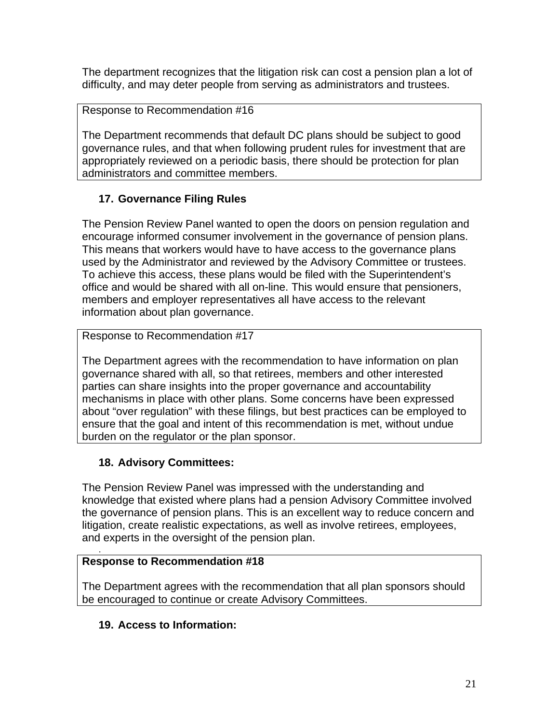The department recognizes that the litigation risk can cost a pension plan a lot of difficulty, and may deter people from serving as administrators and trustees.

Response to Recommendation #16

The Department recommends that default DC plans should be subject to good governance rules, and that when following prudent rules for investment that are appropriately reviewed on a periodic basis, there should be protection for plan administrators and committee members.

# **17. Governance Filing Rules**

The Pension Review Panel wanted to open the doors on pension regulation and encourage informed consumer involvement in the governance of pension plans. This means that workers would have to have access to the governance plans used by the Administrator and reviewed by the Advisory Committee or trustees. To achieve this access, these plans would be filed with the Superintendent's office and would be shared with all on-line. This would ensure that pensioners, members and employer representatives all have access to the relevant information about plan governance.

Response to Recommendation #17

The Department agrees with the recommendation to have information on plan governance shared with all, so that retirees, members and other interested parties can share insights into the proper governance and accountability mechanisms in place with other plans. Some concerns have been expressed about "over regulation" with these filings, but best practices can be employed to ensure that the goal and intent of this recommendation is met, without undue burden on the regulator or the plan sponsor.

## **18. Advisory Committees:**

The Pension Review Panel was impressed with the understanding and knowledge that existed where plans had a pension Advisory Committee involved the governance of pension plans. This is an excellent way to reduce concern and litigation, create realistic expectations, as well as involve retirees, employees, and experts in the oversight of the pension plan. .

## **Response to Recommendation #18**

The Department agrees with the recommendation that all plan sponsors should be encouraged to continue or create Advisory Committees.

## **19. Access to Information:**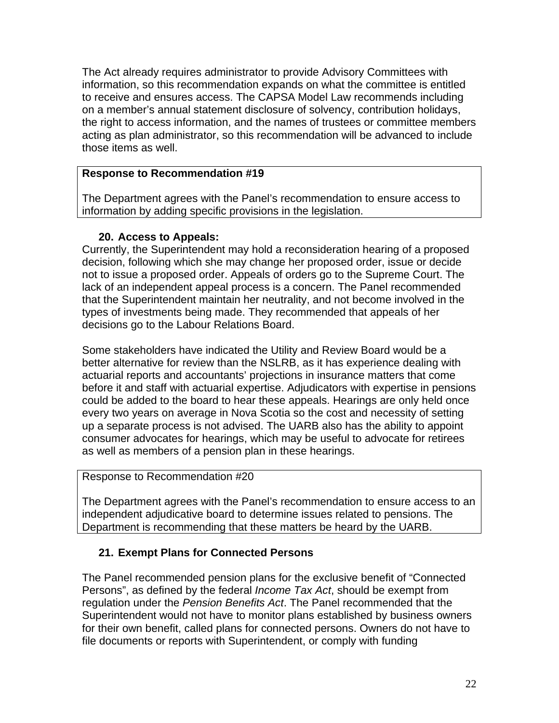The Act already requires administrator to provide Advisory Committees with information, so this recommendation expands on what the committee is entitled to receive and ensures access. The CAPSA Model Law recommends including on a member's annual statement disclosure of solvency, contribution holidays, the right to access information, and the names of trustees or committee members acting as plan administrator, so this recommendation will be advanced to include those items as well.

#### **Response to Recommendation #19**

The Department agrees with the Panel's recommendation to ensure access to information by adding specific provisions in the legislation.

## **20. Access to Appeals:**

Currently, the Superintendent may hold a reconsideration hearing of a proposed decision, following which she may change her proposed order, issue or decide not to issue a proposed order. Appeals of orders go to the Supreme Court. The lack of an independent appeal process is a concern. The Panel recommended that the Superintendent maintain her neutrality, and not become involved in the types of investments being made. They recommended that appeals of her decisions go to the Labour Relations Board.

Some stakeholders have indicated the Utility and Review Board would be a better alternative for review than the NSLRB, as it has experience dealing with actuarial reports and accountants' projections in insurance matters that come before it and staff with actuarial expertise. Adjudicators with expertise in pensions could be added to the board to hear these appeals. Hearings are only held once every two years on average in Nova Scotia so the cost and necessity of setting up a separate process is not advised. The UARB also has the ability to appoint consumer advocates for hearings, which may be useful to advocate for retirees as well as members of a pension plan in these hearings.

#### Response to Recommendation #20

The Department agrees with the Panel's recommendation to ensure access to an independent adjudicative board to determine issues related to pensions. The Department is recommending that these matters be heard by the UARB.

## **21. Exempt Plans for Connected Persons**

The Panel recommended pension plans for the exclusive benefit of "Connected Persons", as defined by the federal *Income Tax Act*, should be exempt from regulation under the *Pension Benefits Act*. The Panel recommended that the Superintendent would not have to monitor plans established by business owners for their own benefit, called plans for connected persons. Owners do not have to file documents or reports with Superintendent, or comply with funding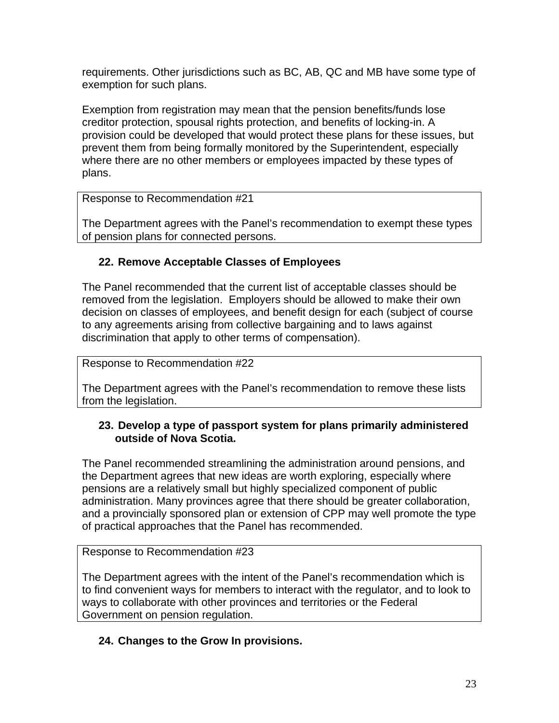requirements. Other jurisdictions such as BC, AB, QC and MB have some type of exemption for such plans.

Exemption from registration may mean that the pension benefits/funds lose creditor protection, spousal rights protection, and benefits of locking-in. A provision could be developed that would protect these plans for these issues, but prevent them from being formally monitored by the Superintendent, especially where there are no other members or employees impacted by these types of plans.

## Response to Recommendation #21

The Department agrees with the Panel's recommendation to exempt these types of pension plans for connected persons.

## **22. Remove Acceptable Classes of Employees**

The Panel recommended that the current list of acceptable classes should be removed from the legislation. Employers should be allowed to make their own decision on classes of employees, and benefit design for each (subject of course to any agreements arising from collective bargaining and to laws against discrimination that apply to other terms of compensation).

Response to Recommendation #22

The Department agrees with the Panel's recommendation to remove these lists from the legislation.

## **23. Develop a type of passport system for plans primarily administered outside of Nova Scotia.**

The Panel recommended streamlining the administration around pensions, and the Department agrees that new ideas are worth exploring, especially where pensions are a relatively small but highly specialized component of public administration. Many provinces agree that there should be greater collaboration, and a provincially sponsored plan or extension of CPP may well promote the type of practical approaches that the Panel has recommended.

Response to Recommendation #23

The Department agrees with the intent of the Panel's recommendation which is to find convenient ways for members to interact with the regulator, and to look to ways to collaborate with other provinces and territories or the Federal Government on pension regulation.

# **24. Changes to the Grow In provisions.**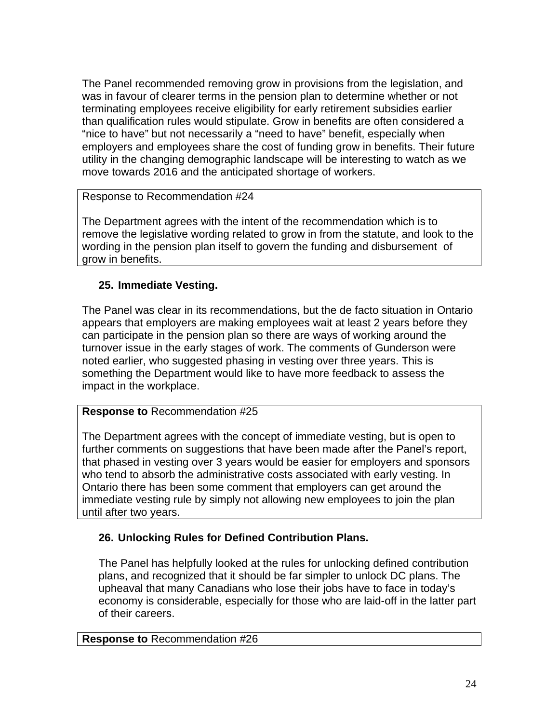The Panel recommended removing grow in provisions from the legislation, and was in favour of clearer terms in the pension plan to determine whether or not terminating employees receive eligibility for early retirement subsidies earlier than qualification rules would stipulate. Grow in benefits are often considered a "nice to have" but not necessarily a "need to have" benefit, especially when employers and employees share the cost of funding grow in benefits. Their future utility in the changing demographic landscape will be interesting to watch as we move towards 2016 and the anticipated shortage of workers.

#### Response to Recommendation #24

The Department agrees with the intent of the recommendation which is to remove the legislative wording related to grow in from the statute, and look to the wording in the pension plan itself to govern the funding and disbursement of grow in benefits.

## **25. Immediate Vesting.**

The Panel was clear in its recommendations, but the de facto situation in Ontario appears that employers are making employees wait at least 2 years before they can participate in the pension plan so there are ways of working around the turnover issue in the early stages of work. The comments of Gunderson were noted earlier, who suggested phasing in vesting over three years. This is something the Department would like to have more feedback to assess the impact in the workplace.

## **Response to** Recommendation #25

The Department agrees with the concept of immediate vesting, but is open to further comments on suggestions that have been made after the Panel's report, that phased in vesting over 3 years would be easier for employers and sponsors who tend to absorb the administrative costs associated with early vesting. In Ontario there has been some comment that employers can get around the immediate vesting rule by simply not allowing new employees to join the plan until after two years.

## **26. Unlocking Rules for Defined Contribution Plans.**

The Panel has helpfully looked at the rules for unlocking defined contribution plans, and recognized that it should be far simpler to unlock DC plans. The upheaval that many Canadians who lose their jobs have to face in today's economy is considerable, especially for those who are laid-off in the latter part of their careers.

#### **Response to** Recommendation #26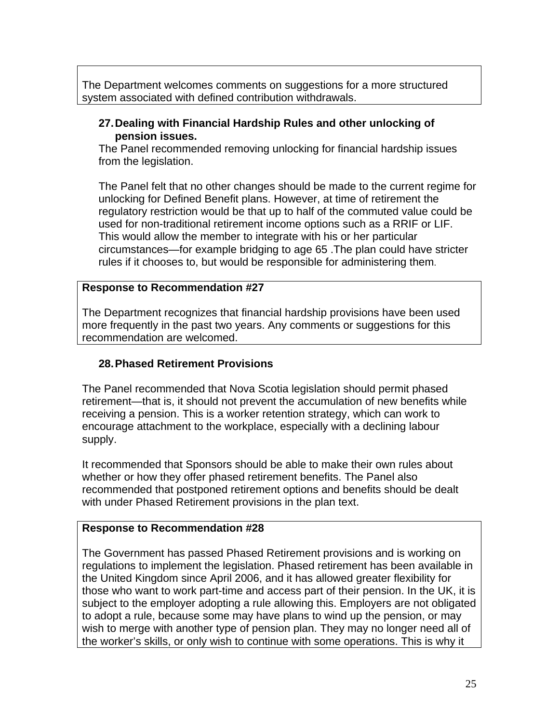The Department welcomes comments on suggestions for a more structured system associated with defined contribution withdrawals.

#### **27. Dealing with Financial Hardship Rules and other unlocking of pension issues.**

The Panel recommended removing unlocking for financial hardship issues from the legislation.

The Panel felt that no other changes should be made to the current regime for unlocking for Defined Benefit plans. However, at time of retirement the regulatory restriction would be that up to half of the commuted value could be used for non-traditional retirement income options such as a RRIF or LIF. This would allow the member to integrate with his or her particular circumstances—for example bridging to age 65 .The plan could have stricter rules if it chooses to, but would be responsible for administering them.

#### **Response to Recommendation #27**

The Department recognizes that financial hardship provisions have been used more frequently in the past two years. Any comments or suggestions for this recommendation are welcomed.

## **28. Phased Retirement Provisions**

The Panel recommended that Nova Scotia legislation should permit phased retirement—that is, it should not prevent the accumulation of new benefits while receiving a pension. This is a worker retention strategy, which can work to encourage attachment to the workplace, especially with a declining labour supply.

It recommended that Sponsors should be able to make their own rules about whether or how they offer phased retirement benefits. The Panel also recommended that postponed retirement options and benefits should be dealt with under Phased Retirement provisions in the plan text.

#### **Response to Recommendation #28**

The Government has passed Phased Retirement provisions and is working on regulations to implement the legislation. Phased retirement has been available in the United Kingdom since April 2006, and it has allowed greater flexibility for those who want to work part-time and access part of their pension. In the UK, it is subject to the employer adopting a rule allowing this. Employers are not obligated to adopt a rule, because some may have plans to wind up the pension, or may wish to merge with another type of pension plan. They may no longer need all of the worker's skills, or only wish to continue with some operations. This is why it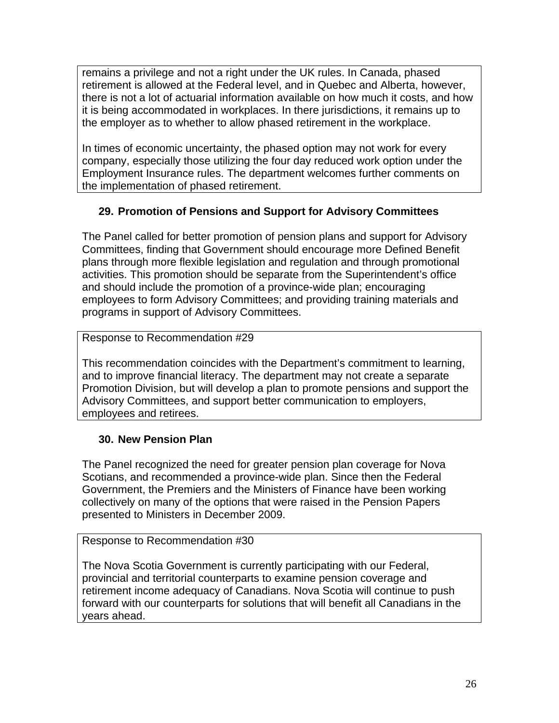remains a privilege and not a right under the UK rules. In Canada, phased retirement is allowed at the Federal level, and in Quebec and Alberta, however, there is not a lot of actuarial information available on how much it costs, and how it is being accommodated in workplaces. In there jurisdictions, it remains up to the employer as to whether to allow phased retirement in the workplace.

In times of economic uncertainty, the phased option may not work for every company, especially those utilizing the four day reduced work option under the Employment Insurance rules. The department welcomes further comments on the implementation of phased retirement.

## **29. Promotion of Pensions and Support for Advisory Committees**

The Panel called for better promotion of pension plans and support for Advisory Committees, finding that Government should encourage more Defined Benefit plans through more flexible legislation and regulation and through promotional activities. This promotion should be separate from the Superintendent's office and should include the promotion of a province-wide plan; encouraging employees to form Advisory Committees; and providing training materials and programs in support of Advisory Committees.

## Response to Recommendation #29

This recommendation coincides with the Department's commitment to learning, and to improve financial literacy. The department may not create a separate Promotion Division, but will develop a plan to promote pensions and support the Advisory Committees, and support better communication to employers, employees and retirees.

## **30. New Pension Plan**

The Panel recognized the need for greater pension plan coverage for Nova Scotians, and recommended a province-wide plan. Since then the Federal Government, the Premiers and the Ministers of Finance have been working collectively on many of the options that were raised in the Pension Papers presented to Ministers in December 2009.

## Response to Recommendation #30

The Nova Scotia Government is currently participating with our Federal, provincial and territorial counterparts to examine pension coverage and retirement income adequacy of Canadians. Nova Scotia will continue to push forward with our counterparts for solutions that will benefit all Canadians in the years ahead.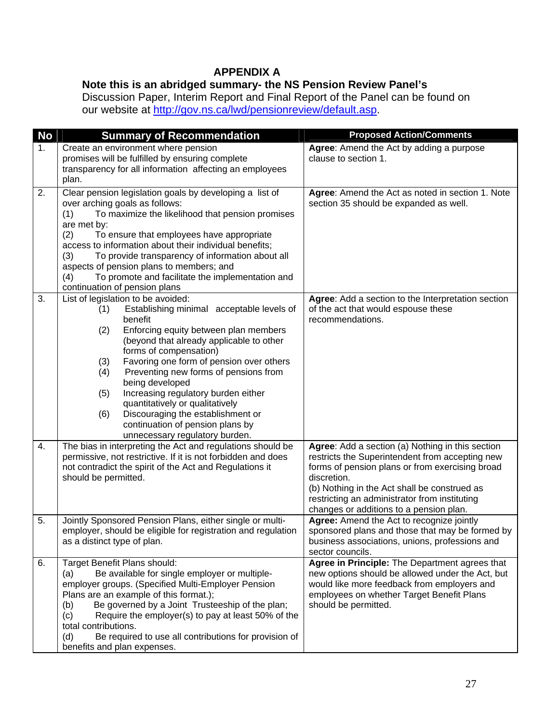## **APPENDIX A**

## **Note this is an abridged summary- the NS Pension Review Panel's**

Discussion Paper, Interim Report and Final Report of the Panel can be found on our website at [http://gov.ns.ca/lwd/pensionreview/default.asp.](http://gov.ns.ca/lwd/pensionreview/default.asp)

| <b>No</b> | <b>Summary of Recommendation</b>                                                                                                                                                                                                                                                                                                                                                                                                                                                                                                                                                                                                                                               | <b>Proposed Action/Comments</b>                                                                                                                                                                                        |
|-----------|--------------------------------------------------------------------------------------------------------------------------------------------------------------------------------------------------------------------------------------------------------------------------------------------------------------------------------------------------------------------------------------------------------------------------------------------------------------------------------------------------------------------------------------------------------------------------------------------------------------------------------------------------------------------------------|------------------------------------------------------------------------------------------------------------------------------------------------------------------------------------------------------------------------|
| 1.        | Create an environment where pension                                                                                                                                                                                                                                                                                                                                                                                                                                                                                                                                                                                                                                            | Agree: Amend the Act by adding a purpose                                                                                                                                                                               |
|           | promises will be fulfilled by ensuring complete                                                                                                                                                                                                                                                                                                                                                                                                                                                                                                                                                                                                                                | clause to section 1.                                                                                                                                                                                                   |
|           | transparency for all information affecting an employees<br>plan.                                                                                                                                                                                                                                                                                                                                                                                                                                                                                                                                                                                                               |                                                                                                                                                                                                                        |
| 2.        | Clear pension legislation goals by developing a list of<br>over arching goals as follows:<br>To maximize the likelihood that pension promises<br>(1)<br>are met by:                                                                                                                                                                                                                                                                                                                                                                                                                                                                                                            | Agree: Amend the Act as noted in section 1. Note<br>section 35 should be expanded as well.                                                                                                                             |
|           | (2)<br>To ensure that employees have appropriate<br>access to information about their individual benefits;<br>To provide transparency of information about all<br>(3)<br>aspects of pension plans to members; and<br>To promote and facilitate the implementation and<br>(4)                                                                                                                                                                                                                                                                                                                                                                                                   |                                                                                                                                                                                                                        |
|           | continuation of pension plans                                                                                                                                                                                                                                                                                                                                                                                                                                                                                                                                                                                                                                                  |                                                                                                                                                                                                                        |
| 3.<br>4.  | List of legislation to be avoided:<br>Establishing minimal acceptable levels of<br>(1)<br>benefit<br>Enforcing equity between plan members<br>(2)<br>(beyond that already applicable to other<br>forms of compensation)<br>Favoring one form of pension over others<br>(3)<br>Preventing new forms of pensions from<br>(4)<br>being developed<br>Increasing regulatory burden either<br>(5)<br>quantitatively or qualitatively<br>Discouraging the establishment or<br>(6)<br>continuation of pension plans by<br>unnecessary regulatory burden.<br>The bias in interpreting the Act and regulations should be<br>permissive, not restrictive. If it is not forbidden and does | Agree: Add a section to the Interpretation section<br>of the act that would espouse these<br>recommendations.<br>Agree: Add a section (a) Nothing in this section<br>restricts the Superintendent from accepting new   |
|           | not contradict the spirit of the Act and Regulations it<br>should be permitted.                                                                                                                                                                                                                                                                                                                                                                                                                                                                                                                                                                                                | forms of pension plans or from exercising broad<br>discretion.<br>(b) Nothing in the Act shall be construed as<br>restricting an administrator from instituting<br>changes or additions to a pension plan.             |
| 5.        | Jointly Sponsored Pension Plans, either single or multi-<br>employer, should be eligible for registration and regulation<br>as a distinct type of plan.                                                                                                                                                                                                                                                                                                                                                                                                                                                                                                                        | Agree: Amend the Act to recognize jointly<br>sponsored plans and those that may be formed by<br>business associations, unions, professions and<br>sector councils.                                                     |
| 6.        | Target Benefit Plans should:<br>Be available for single employer or multiple-<br>(a)<br>employer groups. (Specified Multi-Employer Pension<br>Plans are an example of this format.);<br>Be governed by a Joint Trusteeship of the plan;<br>(b)<br>Require the employer(s) to pay at least 50% of the<br>(c)<br>total contributions.<br>Be required to use all contributions for provision of<br>(d)<br>benefits and plan expenses.                                                                                                                                                                                                                                             | Agree in Principle: The Department agrees that<br>new options should be allowed under the Act, but<br>would like more feedback from employers and<br>employees on whether Target Benefit Plans<br>should be permitted. |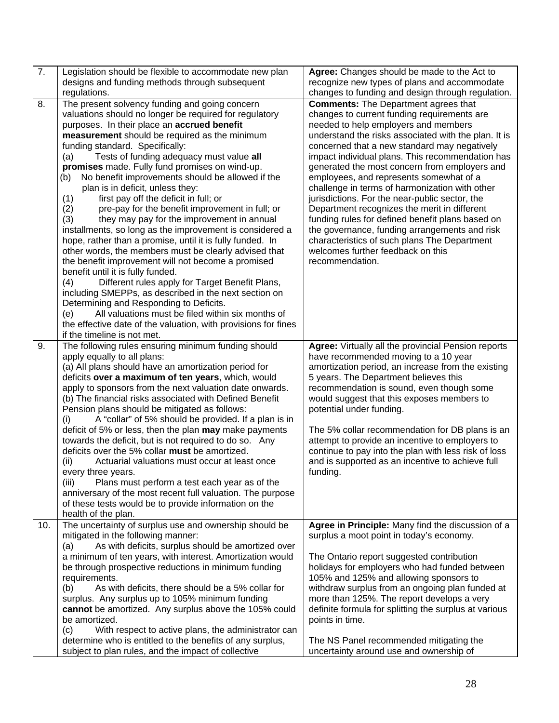| 7.  | Legislation should be flexible to accommodate new plan<br>designs and funding methods through subsequent | Agree: Changes should be made to the Act to<br>recognize new types of plans and accommodate |
|-----|----------------------------------------------------------------------------------------------------------|---------------------------------------------------------------------------------------------|
|     | regulations.                                                                                             | changes to funding and design through regulation.                                           |
| 8.  | The present solvency funding and going concern                                                           | <b>Comments:</b> The Department agrees that                                                 |
|     | valuations should no longer be required for regulatory                                                   | changes to current funding requirements are                                                 |
|     | purposes. In their place an accrued benefit                                                              | needed to help employers and members                                                        |
|     | measurement should be required as the minimum                                                            | understand the risks associated with the plan. It is                                        |
|     | funding standard. Specifically:                                                                          | concerned that a new standard may negatively                                                |
|     | Tests of funding adequacy must value all<br>(a)                                                          | impact individual plans. This recommendation has                                            |
|     | promises made. Fully fund promises on wind-up.                                                           | generated the most concern from employers and                                               |
|     | No benefit improvements should be allowed if the<br>(b)                                                  | employees, and represents somewhat of a                                                     |
|     | plan is in deficit, unless they:                                                                         | challenge in terms of harmonization with other                                              |
|     | first pay off the deficit in full; or<br>(1)                                                             | jurisdictions. For the near-public sector, the                                              |
|     | (2)<br>pre-pay for the benefit improvement in full; or                                                   | Department recognizes the merit in different                                                |
|     | they may pay for the improvement in annual<br>(3)                                                        | funding rules for defined benefit plans based on                                            |
|     | installments, so long as the improvement is considered a                                                 | the governance, funding arrangements and risk                                               |
|     | hope, rather than a promise, until it is fully funded. In                                                | characteristics of such plans The Department<br>welcomes further feedback on this           |
|     | other words, the members must be clearly advised that                                                    |                                                                                             |
|     | the benefit improvement will not become a promised<br>benefit until it is fully funded.                  | recommendation.                                                                             |
|     | (4)<br>Different rules apply for Target Benefit Plans,                                                   |                                                                                             |
|     | including SMEPPs, as described in the next section on                                                    |                                                                                             |
|     | Determining and Responding to Deficits.                                                                  |                                                                                             |
|     | All valuations must be filed within six months of<br>(e)                                                 |                                                                                             |
|     | the effective date of the valuation, with provisions for fines                                           |                                                                                             |
|     | if the timeline is not met.                                                                              |                                                                                             |
| 9.  | The following rules ensuring minimum funding should                                                      | Agree: Virtually all the provincial Pension reports                                         |
|     | apply equally to all plans:                                                                              | have recommended moving to a 10 year                                                        |
|     | (a) All plans should have an amortization period for                                                     | amortization period, an increase from the existing                                          |
|     | deficits over a maximum of ten years, which, would                                                       | 5 years. The Department believes this                                                       |
|     | apply to sponsors from the next valuation date onwards.                                                  | recommendation is sound, even though some                                                   |
|     | (b) The financial risks associated with Defined Benefit                                                  | would suggest that this exposes members to                                                  |
|     | Pension plans should be mitigated as follows:                                                            | potential under funding.                                                                    |
|     | A "collar" of 5% should be provided. If a plan is in<br>(i)                                              |                                                                                             |
|     | deficit of 5% or less, then the plan <b>may</b> make payments                                            | The 5% collar recommendation for DB plans is an                                             |
|     | towards the deficit, but is not required to do so. Any                                                   | attempt to provide an incentive to employers to                                             |
|     | deficits over the 5% collar must be amortized.                                                           | continue to pay into the plan with less risk of loss                                        |
|     | Actuarial valuations must occur at least once<br>(ii)                                                    | and is supported as an incentive to achieve full                                            |
|     | every three years.<br>Plans must perform a test each year as of the<br>(iii)                             | funding.                                                                                    |
|     | anniversary of the most recent full valuation. The purpose                                               |                                                                                             |
|     | of these tests would be to provide information on the                                                    |                                                                                             |
|     | health of the plan.                                                                                      |                                                                                             |
| 10. | The uncertainty of surplus use and ownership should be                                                   | Agree in Principle: Many find the discussion of a                                           |
|     | mitigated in the following manner:                                                                       | surplus a moot point in today's economy.                                                    |
|     | As with deficits, surplus should be amortized over<br>(a)                                                |                                                                                             |
|     | a minimum of ten years, with interest. Amortization would                                                | The Ontario report suggested contribution                                                   |
|     | be through prospective reductions in minimum funding                                                     | holidays for employers who had funded between                                               |
|     | requirements.                                                                                            | 105% and 125% and allowing sponsors to                                                      |
|     | As with deficits, there should be a 5% collar for<br>(b)                                                 | withdraw surplus from an ongoing plan funded at                                             |
|     | surplus. Any surplus up to 105% minimum funding                                                          | more than 125%. The report develops a very                                                  |
|     | cannot be amortized. Any surplus above the 105% could                                                    | definite formula for splitting the surplus at various                                       |
|     | be amortized.                                                                                            | points in time.                                                                             |
|     | With respect to active plans, the administrator can<br>$\left( c\right)$                                 |                                                                                             |
|     | determine who is entitled to the benefits of any surplus,                                                | The NS Panel recommended mitigating the                                                     |
|     | subject to plan rules, and the impact of collective                                                      | uncertainty around use and ownership of                                                     |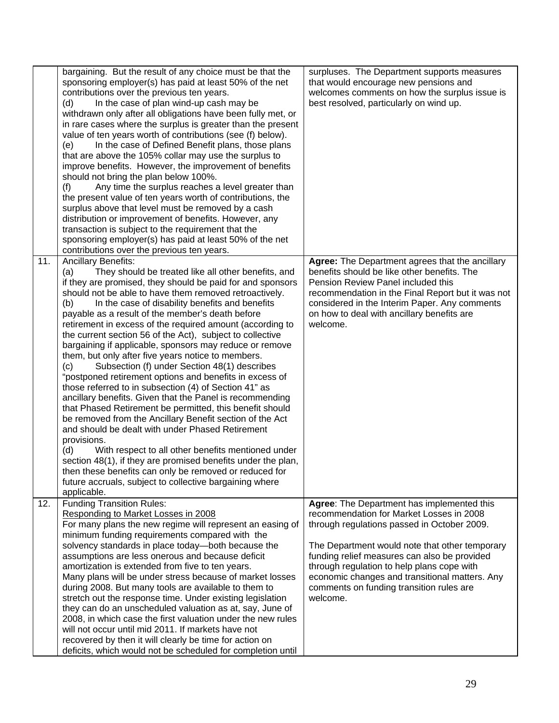|     | bargaining. But the result of any choice must be that the<br>sponsoring employer(s) has paid at least 50% of the net<br>contributions over the previous ten years.<br>In the case of plan wind-up cash may be<br>(d)<br>withdrawn only after all obligations have been fully met, or<br>in rare cases where the surplus is greater than the present<br>value of ten years worth of contributions (see (f) below).<br>In the case of Defined Benefit plans, those plans<br>(e)<br>that are above the 105% collar may use the surplus to<br>improve benefits. However, the improvement of benefits<br>should not bring the plan below 100%.<br>Any time the surplus reaches a level greater than<br>(f)<br>the present value of ten years worth of contributions, the<br>surplus above that level must be removed by a cash<br>distribution or improvement of benefits. However, any<br>transaction is subject to the requirement that the<br>sponsoring employer(s) has paid at least 50% of the net<br>contributions over the previous ten years.                                                                                                                                                                                                                     | surpluses. The Department supports measures<br>that would encourage new pensions and<br>welcomes comments on how the surplus issue is<br>best resolved, particularly on wind up.                                                                                                                     |
|-----|-----------------------------------------------------------------------------------------------------------------------------------------------------------------------------------------------------------------------------------------------------------------------------------------------------------------------------------------------------------------------------------------------------------------------------------------------------------------------------------------------------------------------------------------------------------------------------------------------------------------------------------------------------------------------------------------------------------------------------------------------------------------------------------------------------------------------------------------------------------------------------------------------------------------------------------------------------------------------------------------------------------------------------------------------------------------------------------------------------------------------------------------------------------------------------------------------------------------------------------------------------------------------|------------------------------------------------------------------------------------------------------------------------------------------------------------------------------------------------------------------------------------------------------------------------------------------------------|
| 11. | Ancillary Benefits:<br>They should be treated like all other benefits, and<br>(a)<br>if they are promised, they should be paid for and sponsors<br>should not be able to have them removed retroactively.<br>In the case of disability benefits and benefits<br>(b)<br>payable as a result of the member's death before<br>retirement in excess of the required amount (according to<br>the current section 56 of the Act), subject to collective<br>bargaining if applicable, sponsors may reduce or remove<br>them, but only after five years notice to members.<br>Subsection (f) under Section 48(1) describes<br>(c)<br>"postponed retirement options and benefits in excess of<br>those referred to in subsection (4) of Section 41" as<br>ancillary benefits. Given that the Panel is recommending<br>that Phased Retirement be permitted, this benefit should<br>be removed from the Ancillary Benefit section of the Act<br>and should be dealt with under Phased Retirement<br>provisions.<br>With respect to all other benefits mentioned under<br>(d)<br>section 48(1), if they are promised benefits under the plan,<br>then these benefits can only be removed or reduced for<br>future accruals, subject to collective bargaining where<br>applicable. | Agree: The Department agrees that the ancillary<br>benefits should be like other benefits. The<br>Pension Review Panel included this<br>recommendation in the Final Report but it was not<br>considered in the Interim Paper. Any comments<br>on how to deal with ancillary benefits are<br>welcome. |
| 12. | <b>Funding Transition Rules:</b><br>Responding to Market Losses in 2008<br>For many plans the new regime will represent an easing of                                                                                                                                                                                                                                                                                                                                                                                                                                                                                                                                                                                                                                                                                                                                                                                                                                                                                                                                                                                                                                                                                                                                  | Agree: The Department has implemented this<br>recommendation for Market Losses in 2008<br>through regulations passed in October 2009.                                                                                                                                                                |
|     | minimum funding requirements compared with the<br>solvency standards in place today-both because the                                                                                                                                                                                                                                                                                                                                                                                                                                                                                                                                                                                                                                                                                                                                                                                                                                                                                                                                                                                                                                                                                                                                                                  | The Department would note that other temporary                                                                                                                                                                                                                                                       |
|     | assumptions are less onerous and because deficit                                                                                                                                                                                                                                                                                                                                                                                                                                                                                                                                                                                                                                                                                                                                                                                                                                                                                                                                                                                                                                                                                                                                                                                                                      | funding relief measures can also be provided                                                                                                                                                                                                                                                         |
|     | amortization is extended from five to ten years.                                                                                                                                                                                                                                                                                                                                                                                                                                                                                                                                                                                                                                                                                                                                                                                                                                                                                                                                                                                                                                                                                                                                                                                                                      | through regulation to help plans cope with                                                                                                                                                                                                                                                           |
|     | Many plans will be under stress because of market losses<br>during 2008. But many tools are available to them to                                                                                                                                                                                                                                                                                                                                                                                                                                                                                                                                                                                                                                                                                                                                                                                                                                                                                                                                                                                                                                                                                                                                                      | economic changes and transitional matters. Any<br>comments on funding transition rules are                                                                                                                                                                                                           |
|     | stretch out the response time. Under existing legislation                                                                                                                                                                                                                                                                                                                                                                                                                                                                                                                                                                                                                                                                                                                                                                                                                                                                                                                                                                                                                                                                                                                                                                                                             | welcome.                                                                                                                                                                                                                                                                                             |
|     | they can do an unscheduled valuation as at, say, June of                                                                                                                                                                                                                                                                                                                                                                                                                                                                                                                                                                                                                                                                                                                                                                                                                                                                                                                                                                                                                                                                                                                                                                                                              |                                                                                                                                                                                                                                                                                                      |
|     | 2008, in which case the first valuation under the new rules                                                                                                                                                                                                                                                                                                                                                                                                                                                                                                                                                                                                                                                                                                                                                                                                                                                                                                                                                                                                                                                                                                                                                                                                           |                                                                                                                                                                                                                                                                                                      |
|     | will not occur until mid 2011. If markets have not<br>recovered by then it will clearly be time for action on                                                                                                                                                                                                                                                                                                                                                                                                                                                                                                                                                                                                                                                                                                                                                                                                                                                                                                                                                                                                                                                                                                                                                         |                                                                                                                                                                                                                                                                                                      |
|     | deficits, which would not be scheduled for completion until                                                                                                                                                                                                                                                                                                                                                                                                                                                                                                                                                                                                                                                                                                                                                                                                                                                                                                                                                                                                                                                                                                                                                                                                           |                                                                                                                                                                                                                                                                                                      |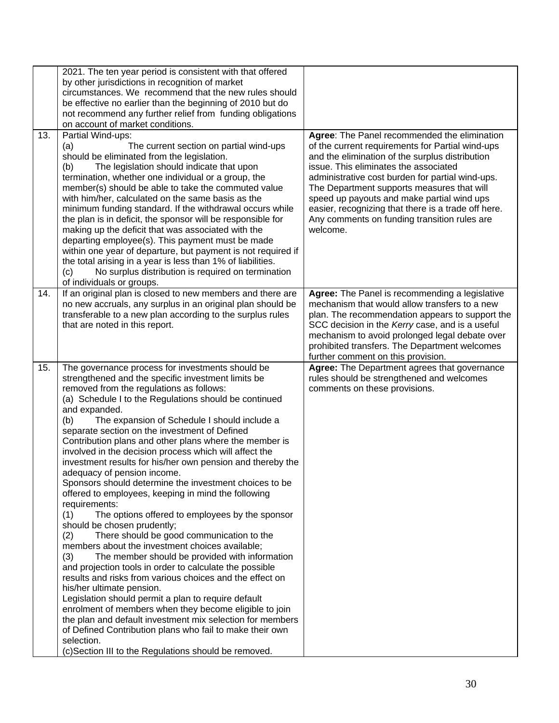|     | 2021. The ten year period is consistent with that offered<br>by other jurisdictions in recognition of market<br>circumstances. We recommend that the new rules should<br>be effective no earlier than the beginning of 2010 but do<br>not recommend any further relief from funding obligations<br>on account of market conditions.                                                                                                                                                                                                                                                                                                                                                                                                                                                                                                                                                                                                                                                                                                                                                                                                                                                                                                                                                                                                                                                                                  |                                                                                                                                                                                                                                                                                                                                                                                                                                                                 |
|-----|----------------------------------------------------------------------------------------------------------------------------------------------------------------------------------------------------------------------------------------------------------------------------------------------------------------------------------------------------------------------------------------------------------------------------------------------------------------------------------------------------------------------------------------------------------------------------------------------------------------------------------------------------------------------------------------------------------------------------------------------------------------------------------------------------------------------------------------------------------------------------------------------------------------------------------------------------------------------------------------------------------------------------------------------------------------------------------------------------------------------------------------------------------------------------------------------------------------------------------------------------------------------------------------------------------------------------------------------------------------------------------------------------------------------|-----------------------------------------------------------------------------------------------------------------------------------------------------------------------------------------------------------------------------------------------------------------------------------------------------------------------------------------------------------------------------------------------------------------------------------------------------------------|
| 13. | Partial Wind-ups:<br>(a)<br>The current section on partial wind-ups<br>should be eliminated from the legislation.<br>The legislation should indicate that upon<br>(b)<br>termination, whether one individual or a group, the<br>member(s) should be able to take the commuted value<br>with him/her, calculated on the same basis as the<br>minimum funding standard. If the withdrawal occurs while<br>the plan is in deficit, the sponsor will be responsible for<br>making up the deficit that was associated with the<br>departing employee(s). This payment must be made<br>within one year of departure, but payment is not required if<br>the total arising in a year is less than 1% of liabilities.<br>No surplus distribution is required on termination<br>(c)<br>of individuals or groups.                                                                                                                                                                                                                                                                                                                                                                                                                                                                                                                                                                                                               | Agree: The Panel recommended the elimination<br>of the current requirements for Partial wind-ups<br>and the elimination of the surplus distribution<br>issue. This eliminates the associated<br>administrative cost burden for partial wind-ups.<br>The Department supports measures that will<br>speed up payouts and make partial wind ups<br>easier, recognizing that there is a trade off here.<br>Any comments on funding transition rules are<br>welcome. |
| 14. | If an original plan is closed to new members and there are<br>no new accruals, any surplus in an original plan should be<br>transferable to a new plan according to the surplus rules<br>that are noted in this report.                                                                                                                                                                                                                                                                                                                                                                                                                                                                                                                                                                                                                                                                                                                                                                                                                                                                                                                                                                                                                                                                                                                                                                                              | Agree: The Panel is recommending a legislative<br>mechanism that would allow transfers to a new<br>plan. The recommendation appears to support the<br>SCC decision in the Kerry case, and is a useful<br>mechanism to avoid prolonged legal debate over<br>prohibited transfers. The Department welcomes<br>further comment on this provision.                                                                                                                  |
| 15. | The governance process for investments should be<br>strengthened and the specific investment limits be<br>removed from the regulations as follows:<br>(a) Schedule I to the Regulations should be continued<br>and expanded.<br>The expansion of Schedule I should include a<br>(b)<br>separate section on the investment of Defined<br>Contribution plans and other plans where the member is<br>involved in the decision process which will affect the<br>investment results for his/her own pension and thereby the<br>adequacy of pension income.<br>Sponsors should determine the investment choices to be<br>offered to employees, keeping in mind the following<br>requirements:<br>(1)<br>The options offered to employees by the sponsor<br>should be chosen prudently;<br>There should be good communication to the<br>(2)<br>members about the investment choices available;<br>The member should be provided with information<br>(3)<br>and projection tools in order to calculate the possible<br>results and risks from various choices and the effect on<br>his/her ultimate pension.<br>Legislation should permit a plan to require default<br>enrolment of members when they become eligible to join<br>the plan and default investment mix selection for members<br>of Defined Contribution plans who fail to make their own<br>selection.<br>(c)Section III to the Regulations should be removed. | Agree: The Department agrees that governance<br>rules should be strengthened and welcomes<br>comments on these provisions.                                                                                                                                                                                                                                                                                                                                      |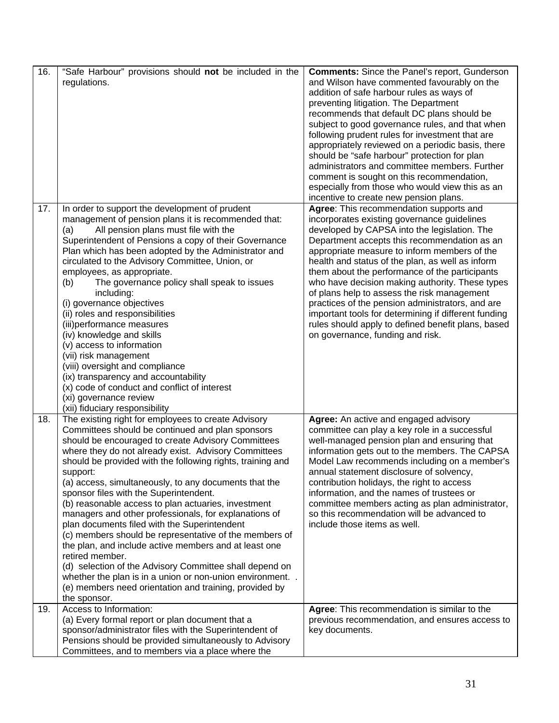| 16. | "Safe Harbour" provisions should not be included in the<br>regulations.                                                                                                                                                                                                                                                                                                                                                                                                                                                                                                                                                                                                                                                                                                                                                                                                                                  | <b>Comments:</b> Since the Panel's report, Gunderson<br>and Wilson have commented favourably on the<br>addition of safe harbour rules as ways of<br>preventing litigation. The Department<br>recommends that default DC plans should be<br>subject to good governance rules, and that when<br>following prudent rules for investment that are<br>appropriately reviewed on a periodic basis, there<br>should be "safe harbour" protection for plan<br>administrators and committee members. Further<br>comment is sought on this recommendation,<br>especially from those who would view this as an<br>incentive to create new pension plans.        |
|-----|----------------------------------------------------------------------------------------------------------------------------------------------------------------------------------------------------------------------------------------------------------------------------------------------------------------------------------------------------------------------------------------------------------------------------------------------------------------------------------------------------------------------------------------------------------------------------------------------------------------------------------------------------------------------------------------------------------------------------------------------------------------------------------------------------------------------------------------------------------------------------------------------------------|------------------------------------------------------------------------------------------------------------------------------------------------------------------------------------------------------------------------------------------------------------------------------------------------------------------------------------------------------------------------------------------------------------------------------------------------------------------------------------------------------------------------------------------------------------------------------------------------------------------------------------------------------|
| 17. | In order to support the development of prudent<br>management of pension plans it is recommended that:<br>All pension plans must file with the<br>(a)<br>Superintendent of Pensions a copy of their Governance<br>Plan which has been adopted by the Administrator and<br>circulated to the Advisory Committee, Union, or<br>employees, as appropriate.<br>The governance policy shall speak to issues<br>(b)<br>including:<br>(i) governance objectives<br>(ii) roles and responsibilities<br>(iii)performance measures<br>(iv) knowledge and skills<br>(v) access to information<br>(vii) risk management<br>(viii) oversight and compliance<br>(ix) transparency and accountability<br>(x) code of conduct and conflict of interest<br>(xi) governance review<br>(xii) fiduciary responsibility                                                                                                        | Agree: This recommendation supports and<br>incorporates existing governance guidelines<br>developed by CAPSA into the legislation. The<br>Department accepts this recommendation as an<br>appropriate measure to inform members of the<br>health and status of the plan, as well as inform<br>them about the performance of the participants<br>who have decision making authority. These types<br>of plans help to assess the risk management<br>practices of the pension administrators, and are<br>important tools for determining if different funding<br>rules should apply to defined benefit plans, based<br>on governance, funding and risk. |
| 18. | The existing right for employees to create Advisory<br>Committees should be continued and plan sponsors<br>should be encouraged to create Advisory Committees<br>where they do not already exist. Advisory Committees<br>should be provided with the following rights, training and<br>support:<br>(a) access, simultaneously, to any documents that the<br>sponsor files with the Superintendent.<br>(b) reasonable access to plan actuaries, investment<br>managers and other professionals, for explanations of<br>plan documents filed with the Superintendent<br>(c) members should be representative of the members of<br>the plan, and include active members and at least one<br>retired member.<br>(d) selection of the Advisory Committee shall depend on<br>whether the plan is in a union or non-union environment<br>(e) members need orientation and training, provided by<br>the sponsor. | Agree: An active and engaged advisory<br>committee can play a key role in a successful<br>well-managed pension plan and ensuring that<br>information gets out to the members. The CAPSA<br>Model Law recommends including on a member's<br>annual statement disclosure of solvency,<br>contribution holidays, the right to access<br>information, and the names of trustees or<br>committee members acting as plan administrator,<br>so this recommendation will be advanced to<br>include those items as well.                                                                                                                                      |
| 19. | Access to Information:<br>(a) Every formal report or plan document that a<br>sponsor/administrator files with the Superintendent of<br>Pensions should be provided simultaneously to Advisory<br>Committees, and to members via a place where the                                                                                                                                                                                                                                                                                                                                                                                                                                                                                                                                                                                                                                                        | Agree: This recommendation is similar to the<br>previous recommendation, and ensures access to<br>key documents.                                                                                                                                                                                                                                                                                                                                                                                                                                                                                                                                     |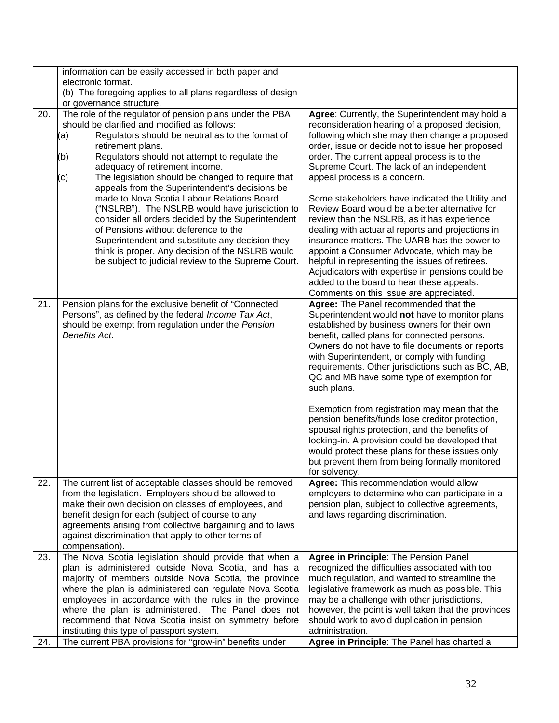|            | information can be easily accessed in both paper and<br>electronic format.<br>(b) The foregoing applies to all plans regardless of design<br>or governance structure.                                                                                                                                                                                                                                                                                                                                                                                                                                                                                                                                                                                        |                                                                                                                                                                                                                                                                                                                                                                                                                                                                                                                                                                                                                                                                                                                                                                                                                                            |
|------------|--------------------------------------------------------------------------------------------------------------------------------------------------------------------------------------------------------------------------------------------------------------------------------------------------------------------------------------------------------------------------------------------------------------------------------------------------------------------------------------------------------------------------------------------------------------------------------------------------------------------------------------------------------------------------------------------------------------------------------------------------------------|--------------------------------------------------------------------------------------------------------------------------------------------------------------------------------------------------------------------------------------------------------------------------------------------------------------------------------------------------------------------------------------------------------------------------------------------------------------------------------------------------------------------------------------------------------------------------------------------------------------------------------------------------------------------------------------------------------------------------------------------------------------------------------------------------------------------------------------------|
| 20.        | The role of the regulator of pension plans under the PBA<br>should be clarified and modified as follows:<br>Regulators should be neutral as to the format of<br>(a)<br>retirement plans.<br>(b)<br>Regulators should not attempt to regulate the<br>adequacy of retirement income.<br>(c)<br>The legislation should be changed to require that<br>appeals from the Superintendent's decisions be<br>made to Nova Scotia Labour Relations Board<br>("NSLRB"). The NSLRB would have jurisdiction to<br>consider all orders decided by the Superintendent<br>of Pensions without deference to the<br>Superintendent and substitute any decision they<br>think is proper. Any decision of the NSLRB would<br>be subject to judicial review to the Supreme Court. | Agree: Currently, the Superintendent may hold a<br>reconsideration hearing of a proposed decision,<br>following which she may then change a proposed<br>order, issue or decide not to issue her proposed<br>order. The current appeal process is to the<br>Supreme Court. The lack of an independent<br>appeal process is a concern.<br>Some stakeholders have indicated the Utility and<br>Review Board would be a better alternative for<br>review than the NSLRB, as it has experience<br>dealing with actuarial reports and projections in<br>insurance matters. The UARB has the power to<br>appoint a Consumer Advocate, which may be<br>helpful in representing the issues of retirees.<br>Adjudicators with expertise in pensions could be<br>added to the board to hear these appeals.<br>Comments on this issue are appreciated. |
| 21.        | Pension plans for the exclusive benefit of "Connected<br>Persons", as defined by the federal Income Tax Act,<br>should be exempt from regulation under the Pension<br><b>Benefits Act.</b>                                                                                                                                                                                                                                                                                                                                                                                                                                                                                                                                                                   | Agree: The Panel recommended that the<br>Superintendent would not have to monitor plans<br>established by business owners for their own<br>benefit, called plans for connected persons.<br>Owners do not have to file documents or reports<br>with Superintendent, or comply with funding<br>requirements. Other jurisdictions such as BC, AB,<br>QC and MB have some type of exemption for<br>such plans.<br>Exemption from registration may mean that the<br>pension benefits/funds lose creditor protection,<br>spousal rights protection, and the benefits of<br>locking-in. A provision could be developed that<br>would protect these plans for these issues only<br>but prevent them from being formally monitored<br>for solvency.                                                                                                 |
| 22.        | The current list of acceptable classes should be removed<br>from the legislation. Employers should be allowed to<br>make their own decision on classes of employees, and<br>benefit design for each (subject of course to any<br>agreements arising from collective bargaining and to laws<br>against discrimination that apply to other terms of<br>compensation).                                                                                                                                                                                                                                                                                                                                                                                          | Agree: This recommendation would allow<br>employers to determine who can participate in a<br>pension plan, subject to collective agreements,<br>and laws regarding discrimination.                                                                                                                                                                                                                                                                                                                                                                                                                                                                                                                                                                                                                                                         |
| 23.<br>24. | The Nova Scotia legislation should provide that when a<br>plan is administered outside Nova Scotia, and has a<br>majority of members outside Nova Scotia, the province<br>where the plan is administered can regulate Nova Scotia<br>employees in accordance with the rules in the province<br>where the plan is administered. The Panel does not<br>recommend that Nova Scotia insist on symmetry before<br>instituting this type of passport system.<br>The current PBA provisions for "grow-in" benefits under                                                                                                                                                                                                                                            | Agree in Principle: The Pension Panel<br>recognized the difficulties associated with too<br>much regulation, and wanted to streamline the<br>legislative framework as much as possible. This<br>may be a challenge with other jurisdictions,<br>however, the point is well taken that the provinces<br>should work to avoid duplication in pension<br>administration.<br>Agree in Principle: The Panel has charted a                                                                                                                                                                                                                                                                                                                                                                                                                       |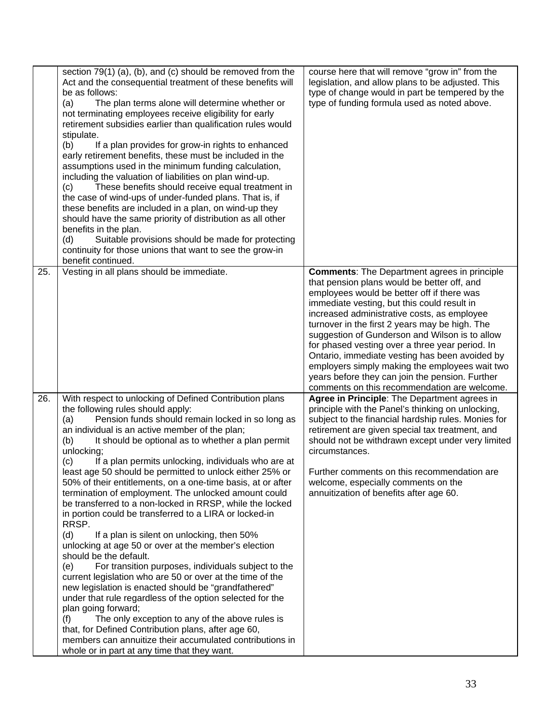|     | section 79(1) (a), (b), and (c) should be removed from the<br>Act and the consequential treatment of these benefits will<br>be as follows:<br>The plan terms alone will determine whether or<br>(a)<br>not terminating employees receive eligibility for early<br>retirement subsidies earlier than qualification rules would<br>stipulate.<br>If a plan provides for grow-in rights to enhanced<br>(b)<br>early retirement benefits, these must be included in the<br>assumptions used in the minimum funding calculation,<br>including the valuation of liabilities on plan wind-up.<br>These benefits should receive equal treatment in<br>(c)<br>the case of wind-ups of under-funded plans. That is, if<br>these benefits are included in a plan, on wind-up they<br>should have the same priority of distribution as all other<br>benefits in the plan.<br>Suitable provisions should be made for protecting<br>(d)<br>continuity for those unions that want to see the grow-in<br>benefit continued.                                                                                                                                                                                                                                                                                                    | course here that will remove "grow in" from the<br>legislation, and allow plans to be adjusted. This<br>type of change would in part be tempered by the<br>type of funding formula used as noted above.                                                                                                                                                                                                                                                                                                                                                                                                      |
|-----|----------------------------------------------------------------------------------------------------------------------------------------------------------------------------------------------------------------------------------------------------------------------------------------------------------------------------------------------------------------------------------------------------------------------------------------------------------------------------------------------------------------------------------------------------------------------------------------------------------------------------------------------------------------------------------------------------------------------------------------------------------------------------------------------------------------------------------------------------------------------------------------------------------------------------------------------------------------------------------------------------------------------------------------------------------------------------------------------------------------------------------------------------------------------------------------------------------------------------------------------------------------------------------------------------------------|--------------------------------------------------------------------------------------------------------------------------------------------------------------------------------------------------------------------------------------------------------------------------------------------------------------------------------------------------------------------------------------------------------------------------------------------------------------------------------------------------------------------------------------------------------------------------------------------------------------|
| 25. | Vesting in all plans should be immediate.                                                                                                                                                                                                                                                                                                                                                                                                                                                                                                                                                                                                                                                                                                                                                                                                                                                                                                                                                                                                                                                                                                                                                                                                                                                                      | <b>Comments:</b> The Department agrees in principle<br>that pension plans would be better off, and<br>employees would be better off if there was<br>immediate vesting, but this could result in<br>increased administrative costs, as employee<br>turnover in the first 2 years may be high. The<br>suggestion of Gunderson and Wilson is to allow<br>for phased vesting over a three year period. In<br>Ontario, immediate vesting has been avoided by<br>employers simply making the employees wait two<br>years before they can join the pension. Further<br>comments on this recommendation are welcome. |
| 26. | With respect to unlocking of Defined Contribution plans<br>the following rules should apply:<br>Pension funds should remain locked in so long as<br>(a)<br>an individual is an active member of the plan;<br>It should be optional as to whether a plan permit<br>(b)<br>unlocking;<br>If a plan permits unlocking, individuals who are at<br>(c)<br>least age 50 should be permitted to unlock either 25% or<br>50% of their entitlements, on a one-time basis, at or after<br>termination of employment. The unlocked amount could<br>be transferred to a non-locked in RRSP, while the locked<br>in portion could be transferred to a LIRA or locked-in<br>RRSP.<br>(d)<br>If a plan is silent on unlocking, then 50%<br>unlocking at age 50 or over at the member's election<br>should be the default.<br>For transition purposes, individuals subject to the<br>(e)<br>current legislation who are 50 or over at the time of the<br>new legislation is enacted should be "grandfathered"<br>under that rule regardless of the option selected for the<br>plan going forward;<br>The only exception to any of the above rules is<br>(f)<br>that, for Defined Contribution plans, after age 60,<br>members can annuitize their accumulated contributions in<br>whole or in part at any time that they want. | Agree in Principle: The Department agrees in<br>principle with the Panel's thinking on unlocking,<br>subject to the financial hardship rules. Monies for<br>retirement are given special tax treatment, and<br>should not be withdrawn except under very limited<br>circumstances.<br>Further comments on this recommendation are<br>welcome, especially comments on the<br>annuitization of benefits after age 60.                                                                                                                                                                                          |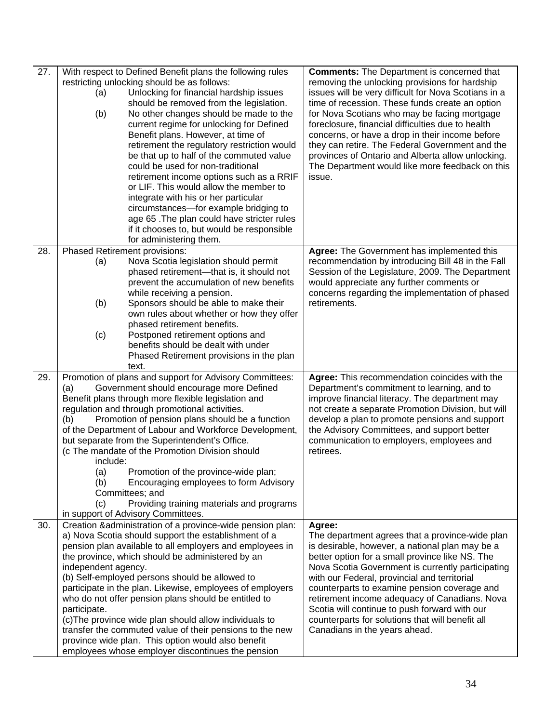| 27. | With respect to Defined Benefit plans the following rules<br>restricting unlocking should be as follows:<br>Unlocking for financial hardship issues<br>(a)<br>should be removed from the legislation.<br>No other changes should be made to the<br>(b)<br>current regime for unlocking for Defined<br>Benefit plans. However, at time of<br>retirement the regulatory restriction would<br>be that up to half of the commuted value<br>could be used for non-traditional<br>retirement income options such as a RRIF<br>or LIF. This would allow the member to<br>integrate with his or her particular<br>circumstances-for example bridging to<br>age 65. The plan could have stricter rules<br>if it chooses to, but would be responsible<br>for administering them. | <b>Comments:</b> The Department is concerned that<br>removing the unlocking provisions for hardship<br>issues will be very difficult for Nova Scotians in a<br>time of recession. These funds create an option<br>for Nova Scotians who may be facing mortgage<br>foreclosure, financial difficulties due to health<br>concerns, or have a drop in their income before<br>they can retire. The Federal Government and the<br>provinces of Ontario and Alberta allow unlocking.<br>The Department would like more feedback on this<br>issue. |
|-----|------------------------------------------------------------------------------------------------------------------------------------------------------------------------------------------------------------------------------------------------------------------------------------------------------------------------------------------------------------------------------------------------------------------------------------------------------------------------------------------------------------------------------------------------------------------------------------------------------------------------------------------------------------------------------------------------------------------------------------------------------------------------|---------------------------------------------------------------------------------------------------------------------------------------------------------------------------------------------------------------------------------------------------------------------------------------------------------------------------------------------------------------------------------------------------------------------------------------------------------------------------------------------------------------------------------------------|
| 28. | Phased Retirement provisions:<br>Nova Scotia legislation should permit<br>(a)<br>phased retirement-that is, it should not<br>prevent the accumulation of new benefits<br>while receiving a pension.<br>(b)<br>Sponsors should be able to make their<br>own rules about whether or how they offer<br>phased retirement benefits.<br>(c)<br>Postponed retirement options and<br>benefits should be dealt with under<br>Phased Retirement provisions in the plan<br>text.                                                                                                                                                                                                                                                                                                 | Agree: The Government has implemented this<br>recommendation by introducing Bill 48 in the Fall<br>Session of the Legislature, 2009. The Department<br>would appreciate any further comments or<br>concerns regarding the implementation of phased<br>retirements.                                                                                                                                                                                                                                                                          |
| 29. | Promotion of plans and support for Advisory Committees:<br>Government should encourage more Defined<br>(a)<br>Benefit plans through more flexible legislation and<br>regulation and through promotional activities.<br>Promotion of pension plans should be a function<br>(b)<br>of the Department of Labour and Workforce Development,<br>but separate from the Superintendent's Office.<br>(c The mandate of the Promotion Division should<br>include:<br>(a)<br>Promotion of the province-wide plan;<br>Encouraging employees to form Advisory<br>(b)<br>Committees; and<br>Providing training materials and programs<br>(c)<br>in support of Advisory Committees.                                                                                                  | Agree: This recommendation coincides with the<br>Department's commitment to learning, and to<br>improve financial literacy. The department may<br>not create a separate Promotion Division, but will<br>develop a plan to promote pensions and support<br>the Advisory Committees, and support better<br>communication to employers, employees and<br>retirees.                                                                                                                                                                             |
| 30. | Creation & administration of a province-wide pension plan:<br>a) Nova Scotia should support the establishment of a<br>pension plan available to all employers and employees in<br>the province, which should be administered by an<br>independent agency.<br>(b) Self-employed persons should be allowed to<br>participate in the plan. Likewise, employees of employers<br>who do not offer pension plans should be entitled to<br>participate.<br>(c) The province wide plan should allow individuals to<br>transfer the commuted value of their pensions to the new<br>province wide plan. This option would also benefit<br>employees whose employer discontinues the pension                                                                                      | Agree:<br>The department agrees that a province-wide plan<br>is desirable, however, a national plan may be a<br>better option for a small province like NS. The<br>Nova Scotia Government is currently participating<br>with our Federal, provincial and territorial<br>counterparts to examine pension coverage and<br>retirement income adequacy of Canadians. Nova<br>Scotia will continue to push forward with our<br>counterparts for solutions that will benefit all<br>Canadians in the years ahead.                                 |